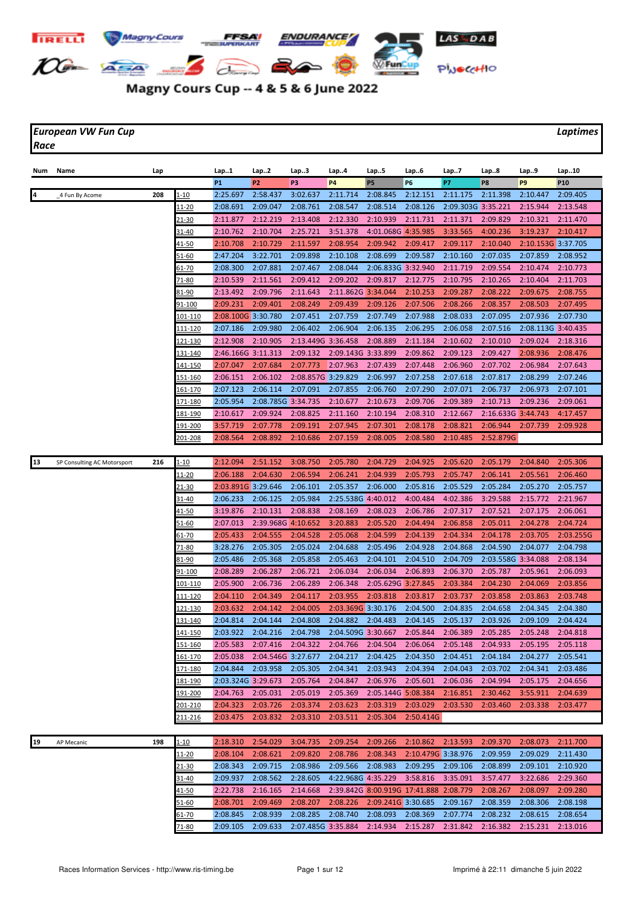

## Magny Cours Cup -- 4 & 5 & 6 June 2022

*European VW Fun Cup Laptimes Race*

| Num | Name                        | Lap |                 | Lap1               | Lap2                       | Lap3               | Lap4               | Lap5                                          | Lap6               | Lap7               | Lap8               | Lap9               | Lap10           |
|-----|-----------------------------|-----|-----------------|--------------------|----------------------------|--------------------|--------------------|-----------------------------------------------|--------------------|--------------------|--------------------|--------------------|-----------------|
|     |                             |     |                 | <b>P1</b>          | P <sub>2</sub>             | P3                 | <b>P4</b>          | P <sub>5</sub>                                | P6                 | P7                 | P8                 | P <sub>9</sub>     | P <sub>10</sub> |
|     | 4 Fun By Acome              | 208 | $1 - 10$        | 2:25.697           | 2:58.437                   | 3:02.637           | 2:11.714           | 2:08.845                                      | 2:12.151           | 2:11.175           | 2:11.398           | 2:10.447           | 2:09.405        |
|     |                             |     | <u> 11-20</u>   | 2:08.691           | 2:09.047                   | 2:08.761           | 2:08.547           | 2:08.514                                      | 2:08.126           | 2:09.303G 3:35.221 |                    | 2:15.944           | 2:13.548        |
|     |                             |     | <u>21-30</u>    | 2:11.877           | 2:12.219                   | 2:13.408           | 2:12.330           | 2:10.939                                      | 2:11.731           | 2:11.371           | 2:09.829           | 2:10.321           | 2:11.470        |
|     |                             |     | 31-40           | 2:10.762           | 2:10.704                   | 2:25.721           | 3:51.378           | 4:01.068G 4:35.985                            |                    | 3:33.565           | 4:00.236           | 3:19.237           | 2:10.417        |
|     |                             |     | <u>41-50</u>    | 2:10.708           | 2:10.729                   | 2:11.597           | 2:08.954           | 2:09.942                                      | 2:09.417           | 2:09.117           | 2:10.040           | 2:10.153G 3:37.705 |                 |
|     |                             |     | 51-60           | 2:47.204           | 3:22.701                   | 2:09.898           | 2:10.108           | 2:08.699                                      | 2:09.587           | 2:10.160           | 2:07.035           | 2:07.859           | 2:08.952        |
|     |                             |     | 61-70           | 2:08.300           | 2:07.881                   | 2:07.467           | 2:08.044           | 2:06.833G 3:32.940                            |                    | 2:11.719           | 2:09.554           | 2:10.474           | 2:10.773        |
|     |                             |     | 71-80           | 2:10.539           | 2:11.561                   | 2:09.412           | 2:09.202           | 2:09.817                                      | 2:12.775           | 2:10.795           | 2:10.265           | 2:10.404           | 2:11.703        |
|     |                             |     | 81-90           | 2:13.492           | 2:09.796                   | 2:11.643           | 2:11.862G 3:34.044 |                                               | 2:10.253           | 2:09.287           | 2:08.222           | 2:09.675           | 2:08.755        |
|     |                             |     | 91-100          | 2:09.231           | 2:09.401                   | 2:08.249           | 2:09.439           | 2:09.126                                      | 2:07.506           | 2:08.266           | 2:08.357           | 2:08.503           | 2:07.495        |
|     |                             |     | 101-110         | 2:08.100G 3:30.780 |                            | 2:07.451           | 2:07.759           | 2:07.749                                      | 2:07.988           | 2:08.033           | 2:07.095           | 2:07.936           | 2:07.730        |
|     |                             |     | 111-120         | 2:07.186           | 2:09.980                   | 2:06.402           | 2:06.904           | 2:06.135                                      | 2:06.295           | 2:06.058           | 2:07.516           | 2:08.113G 3:40.435 |                 |
|     |                             |     | 121-130         | 2:12.908           | 2:10.905                   | 2:13.449G 3:36.458 |                    | 2:08.889                                      | 2:11.184           | 2:10.602           | 2:10.010           | 2:09.024           | 2:18.316        |
|     |                             |     | 131-140         | 2:46.166G 3:11.313 |                            | 2:09.132           | 2:09.143G 3:33.899 |                                               | 2:09.862           | 2:09.123           | 2:09.427           | 2:08.936           | 2:08.476        |
|     |                             |     | <u> 141-150</u> | 2:07.047           | 2:07.684                   | 2:07.773           | 2:07.963           | 2:07.439                                      | 2:07.448           | 2:06.960           | 2:07.702           | 2:06.984           | 2:07.643        |
|     |                             |     | <u>151-160</u>  | 2:06.151           | 2:06.102                   | 2:08.857G 3:29.829 |                    | 2:06.997                                      | 2:07.258           | 2:07.618           | 2:07.817           | 2:08.299           | 2:07.246        |
|     |                             |     | <u> 161-170</u> | 2:07.123           | 2:06.114                   | 2:07.091           | 2:07.855           | 2:06.760                                      | 2:07.290           | 2:07.071           | 2:06.737           | 2:06.973           | 2:07.101        |
|     |                             |     | <u>171-180</u>  | 2:05.954           | 2:08.785G 3:34.735         |                    | 2:10.677           | 2:10.673                                      | 2:09.706           | 2:09.389           | 2:10.713           | 2:09.236           | 2:09.061        |
|     |                             |     | <u> 181-190</u> | 2:10.617           | 2:09.924                   | 2:08.825           | 2:11.160           | 2:10.194                                      | 2:08.310           | 2:12.667           | 2:16.633G 3:44.743 |                    | 4:17.457        |
|     |                             |     | 191-200         | 3:57.719           | 2:07.778                   | 2:09.191           | 2:07.945           | 2:07.301                                      | 2:08.178           | 2:08.821           | 2:06.944           | 2:07.739           | 2:09.928        |
|     |                             |     | 201-208         | 2:08.564           | 2:08.892                   | 2:10.686           | 2:07.159           | 2:08.005                                      | 2:08.580           | 2:10.485           | 2:52.879G          |                    |                 |
|     |                             |     |                 |                    |                            |                    |                    |                                               |                    |                    |                    |                    |                 |
| 13  | SP Consulting AC Motorsport | 216 | 1-10            | 2:12.094           | 2:51.152                   | 3:08.750           | 2:05.780           | 2:04.729                                      | 2:04.925           | 2:05.620           | 2:05.179           | 2:04.840           | 2:05.306        |
|     |                             |     | 11-20           | 2:06.188           | 2:04.630                   | 2:06.594           | 2:06.241           | 2:04.939                                      | 2:05.793           | 2:05.747           | 2:06.141           | 2:05.561           | 2:06.460        |
|     |                             |     | <u>21-30</u>    | 2:03.891G 3:29.646 |                            | 2:06.101           | 2:05.357           | 2:06.000                                      | 2:05.816           | 2:05.529           | 2:05.284           | 2:05.270           | 2:05.757        |
|     |                             |     | 31-40           | 2:06.233           | 2:06.125                   | 2:05.984           | 2:25.538G 4:40.012 |                                               | 4:00.484           | 4:02.386           | 3:29.588           | 2:15.772           | 2:21.967        |
|     |                             |     | <u>41-50</u>    | 3:19.876           | 2:10.131                   | 2:08.838           | 2:08.169           | 2:08.023                                      | 2:06.786           | 2:07.317           | 2:07.521           | 2:07.175           | 2:06.061        |
|     |                             |     | 51-60           | 2:07.013           | 2:39.968G 4:10.652         |                    | 3:20.883           | 2:05.520                                      | 2:04.494           | 2:06.858           | 2:05.011           | 2:04.278           | 2:04.724        |
|     |                             |     | <u>61-70</u>    | 2:05.433           | 2:04.555                   | 2:04.528           | 2:05.068           | 2:04.599                                      | 2:04.139           | 2:04.334           | 2:04.178           | 2:03.705           | 2:03.255G       |
|     |                             |     | 71-80           | 3:28.276           | 2:05.305                   | 2:05.024           | 2:04.688           | 2:05.496                                      | 2:04.928           | 2:04.868           | 2:04.590           | 2:04.077           | 2:04.798        |
|     |                             |     | 81-90           | 2:05.486           | 2:05.368                   | 2:05.858           | 2:05.463           | 2:04.101                                      | 2:04.510           | 2:04.709           | 2:03.558G 3:34.088 |                    | 2:08.134        |
|     |                             |     | 91-100          | 2:08.289           | 2:06.287                   | 2:06.721           | 2:06.034           | 2:06.034                                      | 2:06.893           | 2:06.370           | 2:05.787           | 2:05.961           | 2:06.093        |
|     |                             |     | 101-110         | 2:05.900           | 2:06.736                   | 2:06.289           | 2:06.348           | 2:05.629G 3:27.845                            |                    | 2:03.384           | 2:04.230           | 2:04.069           | 2:03.856        |
|     |                             |     | 111-120         | 2:04.110           | 2:04.349                   | 2:04.117           | 2:03.955           | 2:03.818                                      | 2:03.817           | 2:03.737           | 2:03.858           | 2:03.863           | 2:03.748        |
|     |                             |     | 121-130         | 2:03.632           | 2:04.142                   | 2:04.005           | 2:03.369G 3:30.176 |                                               | 2:04.500           | 2:04.835           | 2:04.658           | 2:04.345           | 2:04.380        |
|     |                             |     | <u>131-140</u>  | 2:04.814           | 2:04.144                   | 2:04.808           | 2:04.882           | 2:04.483                                      | 2:04.145           | 2:05.137           | 2:03.926           | 2:09.109           | 2:04.424        |
|     |                             |     | 141-150         | 2:03.922           | 2:04.216                   | 2:04.798           | 2:04.509G 3:30.667 |                                               | 2:05.844           | 2:06.389           | 2:05.285           | 2:05.248           | 2:04.818        |
|     |                             |     | 151-160         |                    | 2:05.583 2:07.416 2:04.322 |                    | 2:04.766 2:04.504  |                                               | 2:06.064           | 2:05.148           | 2:04.933           | 2:05.195           | 2:05.118        |
|     |                             |     | <u> 161-170</u> | 2:05.038           | 2:04.546G 3:27.677         |                    | 2:04.217           | 2:04.425                                      | 2:04.350           | 2:04.451           | 2:04.184           | 2:04.277           | 2:05.541        |
|     |                             |     | <u>171-180</u>  | 2:04.844           | 2:03.958                   | 2:05.305           | 2:04.341           | 2:03.943                                      | 2:04.394           | 2:04.043           | 2:03.702           | 2:04.341           | 2:03.486        |
|     |                             |     | 181-190         | 2:03.324G 3:29.673 |                            | 2:05.764           | 2:04.847           | 2:06.976                                      | 2:05.601           | 2:06.036           | 2:04.994           | 2:05.175           | 2:04.656        |
|     |                             |     | 191-200         | 2:04.763           | 2:05.031                   | 2:05.019           | 2:05.369           | 2:05.144G 5:08.384                            |                    | 2:16.851           | 2:30.462           | 3:55.911           | 2:04.639        |
|     |                             |     | 201-210         | 2:04.323           | 2:03.726                   | 2:03.374           | 2:03.623           | 2:03.319                                      | 2:03.029           | 2:03.530           | 2:03.460           | 2:03.338           | 2:03.477        |
|     |                             |     | 211-216         | 2:03.475           | 2:03.832                   | 2:03.310           | 2:03.511           | 2:05.304                                      | 2:50.414G          |                    |                    |                    |                 |
|     |                             |     |                 |                    |                            |                    |                    |                                               |                    |                    |                    |                    |                 |
| 19  | AP Mecanic                  | 198 | $1 - 10$        | 2:18.310           | 2:54.029                   | 3:04.735           | 2:09.254           | 2:09.266                                      | 2:10.862           | 2:13.593           | 2:09.370           | 2:08.073           | 2:11.700        |
|     |                             |     | <u> 11-20</u>   | 2:08.104           | 2:08.621                   | 2:09.820           | 2:08.786           | 2:08.343                                      | 2:10.479G 3:38.976 |                    | 2:09.959           | 2:09.029           | 2:11.430        |
|     |                             |     | <u>21-30</u>    | 2:08.343           | 2:09.715                   | 2:08.986           | 2:09.566           | 2:08.983                                      | 2:09.295           | 2:09.106           | 2:08.899           | 2:09.101           | 2:10.920        |
|     |                             |     | $31 - 40$       | 2:09.937           | 2:08.562                   | 2:28.605           | 4:22.968G 4:35.229 |                                               | 3:58.816           | 3:35.091           | 3:57.477           | 3:22.686           | 2:29.360        |
|     |                             |     | <u>41-50</u>    | 2:22.738           | 2:16.165                   | 2:14.668           |                    | 2:39.842G 8:00.919G 17:41.888 2:08.779        |                    |                    | 2:08.267           | 2:08.097           | 2:09.280        |
|     |                             |     | <u>51-60</u>    | 2:08.701           | 2:09.469                   | 2:08.207           | 2:08.226           | 2:09.241G 3:30.685                            |                    | 2:09.167           | 2:08.359           | 2:08.306           | 2:08.198        |
|     |                             |     | <u>61-70</u>    | 2:08.845           | 2:08.939                   | 2:08.285           | 2:08.740           | 2:08.093                                      | 2:08.369           | 2:07.774           | 2:08.232           | 2:08.615           | 2:08.654        |
|     |                             |     | 71-80           | 2:09.105           | 2:09.633                   |                    |                    | 2:07.485G 3:35.884 2:14.934 2:15.287 2:31.842 |                    |                    | 2:16.382 2:15.231  |                    | 2:13.016        |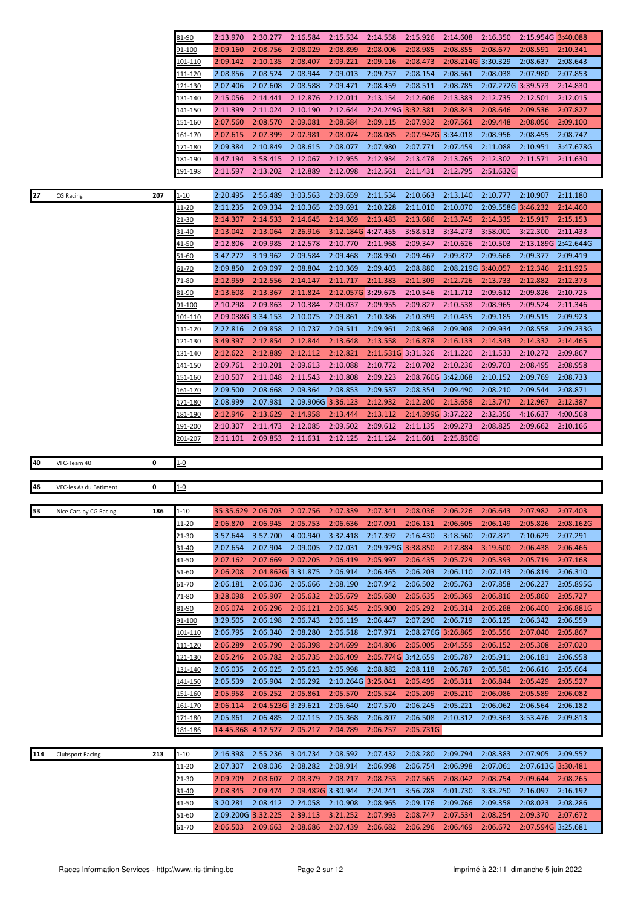|             |                         |     | 81-90                        | 2:13.970                       | 2:30.277           | 2:16.584             | 2:15.534             | 2:14.558             | 2:15.926             | 2:14.608             | 2:16.350             | 2:15.954G 3:40.088             |                     |
|-------------|-------------------------|-----|------------------------------|--------------------------------|--------------------|----------------------|----------------------|----------------------|----------------------|----------------------|----------------------|--------------------------------|---------------------|
|             |                         |     | 91-100                       | 2:09.160                       | 2:08.756           | 2:08.029             | 2:08.899             | 2:08.006             | 2:08.985             | 2:08.855             | 2:08.677             | 2:08.591                       | 2:10.341            |
|             |                         |     |                              |                                |                    |                      | 2:09.221             |                      |                      |                      |                      | 2:08.637                       |                     |
|             |                         |     | <u> 101-110</u>              | 2:09.142                       | 2:10.135           | 2:08.407             |                      | 2:09.116             | 2:08.473             | 2:08.214G 3:30.329   |                      |                                | 2:08.643            |
|             |                         |     | <u> 111-120</u>              | 2:08.856                       | 2:08.524           | 2:08.944             | 2:09.013             | 2:09.257             | 2:08.154             | 2:08.561             | 2:08.038             | 2:07.980                       | 2:07.853            |
|             |                         |     | <u>121-130</u>               | 2:07.406                       | 2:07.608           | 2:08.588             | 2:09.471             | 2:08.459             | 2:08.511             | 2:08.785             | 2:07.272G 3:39.573   |                                | 2:14.830            |
|             |                         |     | 131-140                      | 2:15.056                       | 2:14.441           | 2:12.876             | 2:12.011             | 2:13.154             | 2:12.606             | 2:13.383             | 2:12.735             | 2:12.501                       | 2:12.015            |
|             |                         |     | <u>141-150</u>               | 2:11.399                       | 2:11.024           | 2:10.190             | 2:12.644             | 2:24.249G 3:32.381   |                      | 2:08.843             | 2:08.646             | 2:09.536                       | 2:07.827            |
|             |                         |     | <u> 151-160</u>              | 2:07.560                       | 2:08.570           | 2:09.081             | 2:08.584             | 2:09.115             | 2:07.932             | 2:07.561             | 2:09.448             | 2:08.056                       | 2:09.100            |
|             |                         |     | 161-170                      | 2:07.615                       | 2:07.399           | 2:07.981             | 2:08.074             | 2:08.085             | 2:07.942G 3:34.018   |                      | 2:08.956             | 2:08.455                       | 2:08.747            |
|             |                         |     | 171-180                      | 2:09.384                       | 2:10.849           | 2:08.615             | 2:08.077             | 2:07.980             | 2:07.771             | 2:07.459             | 2:11.088             | 2:10.951                       | 3:47.678G           |
|             |                         |     | 181-190                      | 4:47.194                       | 3:58.415           | 2:12.067             | 2:12.955             | 2:12.934             | 2:13.478             | 2:13.765             | 2:12.302             | 2:11.571                       | 2:11.630            |
|             |                         |     |                              |                                |                    |                      |                      |                      |                      |                      |                      |                                |                     |
|             |                         |     | 191-198                      | 2:11.597                       | 2:13.202           | 2:12.889             | 2:12.098             | 2:12.561             | 2:11.431             | 2:12.795             | 2:51.632G            |                                |                     |
|             |                         |     |                              |                                |                    |                      |                      |                      |                      |                      |                      |                                |                     |
| 27          | <b>CG Racing</b>        | 207 | 1-10                         | 2:20.495                       | 2:56.489           | 3:03.563             | 2:09.659             | 2:11.534             | 2:10.663             | 2:13.140             | 2:10.777             | 2:10.907                       | 2:11.180            |
|             |                         |     | 11-20                        | 2:11.235                       | 2:09.334           | 2:10.365             | 2:09.691             | 2:10.228             | 2:11.010             | 2:10.070             | 2:09.558G 3:46.232   |                                | 2:14.460            |
|             |                         |     | 21-30                        | 2:14.307                       | 2:14.533           | 2:14.645             | 2:14.369             | 2:13.483             | 2:13.686             | 2:13.745             | 2:14.335             | 2:15.917                       | 2:15.153            |
|             |                         |     | 31-40                        | 2:13.042                       | 2:13.064           | 2:26.916             | 3:12.184G 4:27.455   |                      | 3:58.513             | 3:34.273             | 3:58.001             | 3:22.300                       | 2:11.433            |
|             |                         |     | <u>41-50</u>                 | 2:12.806                       | 2:09.985           | 2:12.578             | 2:10.770             | 2:11.968             | 2:09.347             | 2:10.626             | 2:10.503             |                                | 2:13.189G 2:42.644G |
|             |                         |     | 51-60                        | 3:47.272                       | 3:19.962           | 2:09.584             | 2:09.468             | 2:08.950             | 2:09.467             | 2:09.872             | 2:09.666             | 2:09.377                       | 2:09.419            |
|             |                         |     | 61-70                        | 2:09.850                       | 2:09.097           | 2:08.804             | 2:10.369             | 2:09.403             | 2:08.880             | 2:08.219G 3:40.057   |                      | 2:12.346                       | 2:11.925            |
|             |                         |     | 71-80                        | 2:12.959                       | 2:12.556           | 2:14.147             | 2:11.717             | 2:11.383             | 2:11.309             | 2:12.726             | 2:13.733             | 2:12.882                       | 2:12.373            |
|             |                         |     |                              |                                |                    |                      |                      |                      |                      |                      | 2:09.612             |                                |                     |
|             |                         |     | 81-90                        | 2:13.608                       | 2:13.367           | 2:11.824             | 2:12.057G 3:29.675   |                      | 2:10.546             | 2:11.712             |                      | 2:09.826                       | 2:10.725            |
|             |                         |     | <u>91-100</u>                | 2:10.298                       | 2:09.863           | 2:10.384             | 2:09.037             | 2:09.955             | 2:09.827             | 2:10.538             | 2:08.965             | 2:09.524                       | 2:11.346            |
|             |                         |     | 101-110                      | 2:09.038G 3:34.153             |                    | 2:10.075             | 2:09.861             | 2:10.386             | 2:10.399             | 2:10.435             | 2:09.185             | 2:09.515                       | 2:09.923            |
|             |                         |     | 111-120                      | 2:22.816                       | 2:09.858           | 2:10.737             | 2:09.511             | 2:09.961             | 2:08.968             | 2:09.908             | 2:09.934             | 2:08.558                       | 2:09.233G           |
|             |                         |     | 121-130                      | 3:49.397                       | 2:12.854           | 2:12.844             | 2:13.648             | 2:13.558             | 2:16.878             | 2:16.133             | 2:14.343             | 2:14.332                       | 2:14.465            |
|             |                         |     | 131-140                      | 2:12.622                       | 2:12.889           | 2:12.112             | 2:12.821             | 2:11.531G 3:31.326   |                      | 2:11.220             | 2:11.533             | 2:10.272                       | 2:09.867            |
|             |                         |     | <u>141-150</u>               | 2:09.761                       | 2:10.201           | 2:09.613             | 2:10.088             | 2:10.772             | 2:10.702             | 2:10.236             | 2:09.703             | 2:08.495                       | 2:08.958            |
|             |                         |     | <u>151-160</u>               | 2:10.507                       | 2:11.048           | 2:11.543             | 2:10.808             | 2:09.223             | 2:08.760G 3:42.068   |                      | 2:10.152             | 2:09.769                       | 2:08.733            |
|             |                         |     | <u>161-170</u>               | 2:09.500                       | 2:08.668           | 2:09.364             | 2:08.853             | 2:09.537             | 2:08.354             | 2:09.490             | 2:08.210             | 2:09.544                       | 2:08.871            |
|             |                         |     | 171-180                      | 2:08.999                       | 2:07.981           | 2:09.906G 3:36.123   |                      | 2:12.932             | 2:12.200             | 2:13.658             | 2:13.747             | 2:12.967                       | 2:12.387            |
|             |                         |     |                              |                                |                    |                      |                      |                      |                      |                      |                      |                                |                     |
|             |                         |     | 181-190                      | 2:12.946                       | 2:13.629           | 2:14.958             | 2:13.444             | 2:13.112             | 2:14.399G 3:37.222   |                      | 2:32.356             | 4:16.637                       | 4:00.568            |
|             |                         |     |                              |                                |                    |                      |                      |                      |                      |                      |                      |                                |                     |
|             |                         |     | 191-200                      | 2:10.307                       | 2:11.473           | 2:12.085             | 2:09.502             | 2:09.612             | 2:11.135             | 2:09.273             | 2:08.825             | 2:09.662                       | 2:10.166            |
|             |                         |     | 201-207                      | 2:11.101                       | 2:09.853           | 2:11.631             | 2:12.125             | 2:11.124             | 2:11.601             | 2:25.830G            |                      |                                |                     |
|             |                         |     |                              |                                |                    |                      |                      |                      |                      |                      |                      |                                |                     |
| 40          | VFC-Team 40             | 0   | $1 - 0$                      |                                |                    |                      |                      |                      |                      |                      |                      |                                |                     |
|             |                         |     |                              |                                |                    |                      |                      |                      |                      |                      |                      |                                |                     |
| 46          | VFC-les As du Batiment  | 0   | <u>1-0</u>                   |                                |                    |                      |                      |                      |                      |                      |                      |                                |                     |
|             |                         |     |                              |                                |                    |                      |                      |                      |                      |                      |                      |                                |                     |
|             | Nice Cars by CG Racing  | 186 | $1 - 10$                     | 35:35.629 2:06.703             |                    | 2:07.756             | 2:07.339             | 2:07.341             | 2:08.036             | 2:06.226             | 2:06.643             | 2:07.982                       | 2:07.403            |
| $\sqrt{53}$ |                         |     | <u> 11-20</u>                | 2:06.870                       | 2:06.945           | 2:05.753             | 2:06.636             | 2:07.091             | 2:06.131             | 2:06.605             | 2:06.149             | 2:05.826                       | 2:08.162G           |
|             |                         |     | 21-30                        | 3:57.644                       | 3:57.700           | 4:00.940             | 3:32.418             | 2:17.392             | 2:16.430             | 3:18.560             | 2:07.871             | 7:10.629                       | 2:07.291            |
|             |                         |     |                              |                                | 2:07.904           |                      |                      |                      |                      |                      |                      |                                | 2:06.466            |
|             |                         |     | 31-40                        | 2:07.654                       |                    | 2:09.005             | 2:07.031             | 2:09.929G 3:38.850   |                      | 2:17.884             | 3:19.600             | 2:06.438                       |                     |
|             |                         |     | 41-50                        | 2:07.162                       | 2:07.669           | 2:07.205             | 2:06.419             | 2:05.997             | 2:06.435             | 2:05.729             | 2:05.393             | 2:05.719                       | 2:07.168            |
|             |                         |     | 51-60                        | 2:06.208                       | 2:04.862G 3:31.875 |                      | 2:06.914             | 2:06.465             | 2:06.203             | 2:06.110             | 2:07.143             | 2:06.819                       | 2:06.310            |
|             |                         |     | 61-70                        | 2:06.181                       | 2:06.036           | 2:05.666             | 2:08.190             | 2:07.942             | 2:06.502             | 2:05.763             | 2:07.858             | 2:06.227                       | 2:05.895G           |
|             |                         |     | 71-80                        | 3:28.098                       | 2:05.907           | 2:05.632             | 2:05.679             | 2:05.680             | 2:05.635             | 2:05.369             | 2:06.816             | 2:05.860                       | 2:05.727            |
|             |                         |     | 81-90                        | 2:06.074                       | 2:06.296           | 2:06.121             | 2:06.345             | 2:05.900             | 2:05.292             | 2:05.314             | 2:05.288             | 2:06.400                       | 2:06.881G           |
|             |                         |     | 91-100                       | 3:29.505                       | 2:06.198           | 2:06.743             | 2:06.119             | 2:06.447             | 2:07.290             | 2:06.719             | 2:06.125             | 2:06.342                       | 2:06.559            |
|             |                         |     | 101-110                      | 2:06.795                       | 2:06.340           | 2:08.280             | 2:06.518             | 2:07.971             | 2:08.276G 3:26.865   |                      | 2:05.556             | 2:07.040                       | 2:05.867            |
|             |                         |     | <u>111-120</u>               | 2:06.289                       | 2:05.790           | 2:06.398             | 2:04.699             | 2:04.806             | 2:05.005             | 2:04.559             | 2:06.152             | 2:05.308                       | 2:07.020            |
|             |                         |     | 121-130                      | 2:05.246                       | 2:05.782           | 2:05.735             | 2:06.409             | 2:05.774G 3:42.659   |                      | 2:05.787             | 2:05.911             | 2:06.181                       | 2:06.958            |
|             |                         |     |                              |                                |                    |                      |                      |                      |                      |                      |                      |                                |                     |
|             |                         |     | <u>131-140</u>               | 2:06.035                       | 2:06.025           | 2:05.623             | 2:05.998             | 2:08.882             | 2:08.118             | 2:06.787             | 2:05.581             | 2:06.616                       | 2:05.664            |
|             |                         |     | 141-150                      | 2:05.539                       | 2:05.904           | 2:06.292             | 2:10.264G 3:25.041   |                      | 2:05.495             | 2:05.311             | 2:06.844             | 2:05.429                       | 2:05.527            |
|             |                         |     | 151-160                      | 2:05.958                       | 2:05.252           | 2:05.861             | 2:05.570             | 2:05.524             | 2:05.209             | 2:05.210             | 2:06.086             | 2:05.589                       | 2:06.082            |
|             |                         |     | 161-170                      | 2:06.114                       | 2:04.523G 3:29.621 |                      | 2:06.640             | 2:07.570             | 2:06.245             | 2:05.221             | 2:06.062             | 2:06.564                       | 2:06.182            |
|             |                         |     | 171-180                      | 2:05.861                       | 2:06.485           | 2:07.115             | 2:05.368             | 2:06.807             | 2:06.508             | 2:10.312             | 2:09.363             | 3:53.476                       | 2:09.813            |
|             |                         |     | 181-186                      | 14:45.868 4:12.527             |                    | 2:05.217             | 2:04.789             | 2:06.257             | 2:05.731G            |                      |                      |                                |                     |
|             |                         |     |                              |                                |                    |                      |                      |                      |                      |                      |                      |                                |                     |
| 114         | <b>Clubsport Racing</b> | 213 | $1 - 10$                     | 2:16.398                       | 2:55.236           | 3:04.734             | 2:08.592             | 2:07.432             | 2:08.280             | 2:09.794             | 2:08.383             | 2:07.905                       | 2:09.552            |
|             |                         |     | <u> 11-20</u>                | 2:07.307                       | 2:08.036           | 2:08.282             | 2:08.914             | 2:06.998             | 2:06.754             | 2:06.998             | 2:07.061             | 2:07.613G 3:30.481             |                     |
|             |                         |     | 21-30                        | 2:09.709                       | 2:08.607           | 2:08.379             | 2:08.217             | 2:08.253             | 2:07.565             | 2:08.042             | 2:08.754             | 2:09.644                       | 2:08.265            |
|             |                         |     |                              |                                |                    |                      |                      |                      |                      |                      |                      |                                |                     |
|             |                         |     | 31-40                        | 2:08.345                       | 2:09.474           | 2:09.482G 3:30.944   |                      | 2:24.241             | 3:56.788             | 4:01.730             | 3:33.250             | 2:16.097                       | 2:16.192            |
|             |                         |     | <u>41-50</u>                 | 3:20.281                       | 2:08.412           | 2:24.058             | 2:10.908             | 2:08.965             | 2:09.176             | 2:09.766             | 2:09.358             | 2:08.023                       | 2:08.286            |
|             |                         |     | <u>51-60</u><br><u>61-70</u> | 2:09.200G 3:32.225<br>2:06.503 | 2:09.663           | 2:39.113<br>2:08.686 | 3:21.252<br>2:07.439 | 2:07.993<br>2:06.682 | 2:08.747<br>2:06.296 | 2:07.534<br>2:06.469 | 2:08.254<br>2:06.672 | 2:09.370<br>2:07.594G 3:25.681 | 2:07.672            |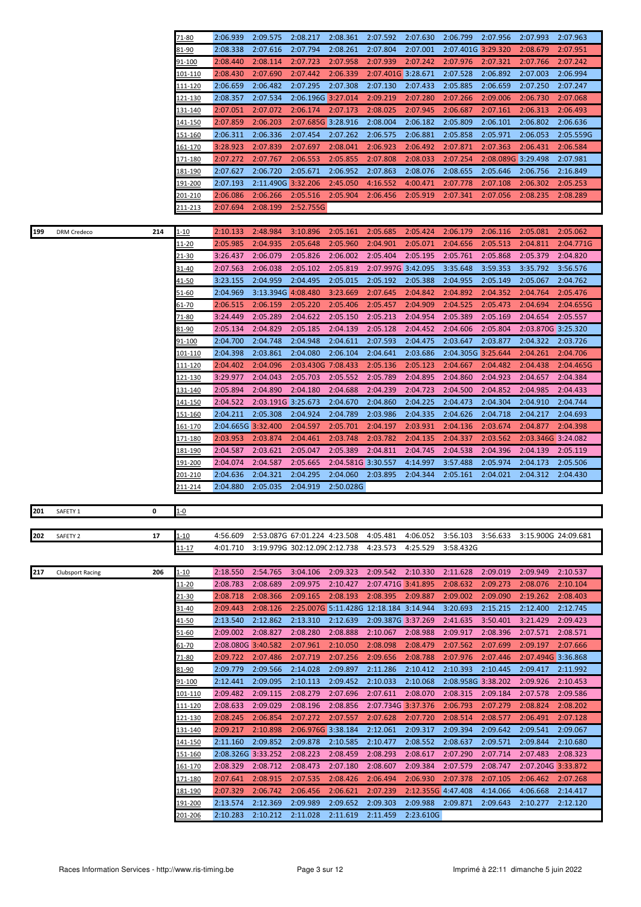|     |                         |     | 71-80              | 2:06.939             | 2:09.575             | 2:08.217                               | 2:08.361             | 2:07.592                       | 2:07.630              | 2:06.799                       | 2:07.956             | 2:07.993                     | 2:07.963             |
|-----|-------------------------|-----|--------------------|----------------------|----------------------|----------------------------------------|----------------------|--------------------------------|-----------------------|--------------------------------|----------------------|------------------------------|----------------------|
|     |                         |     | 81-90              | 2:08.338             | 2:07.616             | 2:07.794                               | 2:08.261             | 2:07.804                       | 2:07.001              | 2:07.401G 3:29.320             |                      | 2:08.679                     | 2:07.951             |
|     |                         |     | 91-100             | 2:08.440             | 2:08.114             | 2:07.723                               | 2:07.958             | 2:07.939                       | 2:07.242              | 2:07.976                       | 2:07.321             | 2:07.766                     | 2:07.242             |
|     |                         |     | 101-110            | 2:08.430             | 2:07.690             | 2:07.442                               | 2:06.339             | 2:07.401G 3:28.671             |                       | 2:07.528                       | 2:06.892             | 2:07.003                     | 2:06.994             |
|     |                         |     | <u>111-120</u>     | 2:06.659             | 2:06.482             | 2:07.295                               | 2:07.308             | 2:07.130                       | 2:07.433              | 2:05.885                       | 2:06.659             | 2:07.250                     | 2:07.247             |
|     |                         |     | <u> 121-130</u>    | 2:08.357             | 2:07.534             | 2:06.196G 3:27.014                     |                      | 2:09.219                       | 2:07.280              | 2:07.266                       | 2:09.006             | 2:06.730                     | 2:07.068             |
|     |                         |     | 131-140            | 2:07.051             | 2:07.072             | 2:06.174                               | 2:07.173             | 2:08.025                       | 2:07.945              | 2:06.687                       | 2:07.161             | 2:06.313                     | 2:06.493             |
|     |                         |     | 141-150            | 2:07.859             | 2:06.203             | 2:07.685G 3:28.916                     |                      | 2:08.004                       | 2:06.182              | 2:05.809                       | 2:06.101             | 2:06.802                     | 2:06.636             |
|     |                         |     | 151-160            | 2:06.311             | 2:06.336             | 2:07.454                               | 2:07.262             | 2:06.575                       | 2:06.881              | 2:05.858                       | 2:05.971             | 2:06.053                     | 2:05.559G            |
|     |                         |     | <u>161-170</u>     | 3:28.923             | 2:07.839             | 2:07.697                               | 2:08.041             | 2:06.923                       | 2:06.492              | 2:07.871                       | 2:07.363             | 2:06.431                     | 2:06.584             |
|     |                         |     | 171-180            | 2:07.272             | 2:07.767             | 2:06.553                               | 2:05.855             | 2:07.808                       | 2:08.033              | 2:07.254                       | 2:08.089G 3:29.498   |                              | 2:07.981             |
|     |                         |     | 181-190            | 2:07.627             | 2:06.720             | 2:05.671                               | 2:06.952             | 2:07.863                       | 2:08.076              | 2:08.655                       | 2:05.646             | 2:06.756                     | 2:16.849             |
|     |                         |     | 191-200            | 2:07.193             | 2:11.490G 3:32.206   |                                        | 2:45.050             | 4:16.552                       | 4:00.471              | 2:07.778                       | 2:07.108             | 2:06.302                     | 2:05.253             |
|     |                         |     | 201-210            | 2:06.086             | 2:06.266             | 2:05.516                               | 2:05.904             | 2:06.456                       | 2:05.919              | 2:07.341                       | 2:07.056             | 2:08.235                     | 2:08.289             |
|     |                         |     | 211-213            | 2:07.694             | 2:08.199             | 2:52.755G                              |                      |                                |                       |                                |                      |                              |                      |
|     |                         |     |                    |                      |                      |                                        |                      |                                |                       |                                |                      |                              |                      |
| 199 |                         | 214 |                    | 2:10.133             | 2:48.984             | 3:10.896                               | 2:05.161             | 2:05.685                       | 2:05.424              | 2:06.179                       | 2:06.116             | 2:05.081                     | 2:05.062             |
|     | <b>DRM</b> Credeco      |     | $1 - 10$           |                      |                      |                                        |                      | 2:04.901                       |                       |                                |                      | 2:04.811                     |                      |
|     |                         |     | <u> 11-20</u>      | 2:05.985             | 2:04.935             | 2:05.648                               | 2:05.960             |                                | 2:05.071              | 2:04.656                       | 2:05.513             |                              | 2:04.771G            |
|     |                         |     | <u>21-30</u>       | 3:26.437             | 2:06.079             | 2:05.826                               | 2:06.002             | 2:05.404                       | 2:05.195              | 2:05.761                       | 2:05.868             | 2:05.379                     | 2:04.820             |
|     |                         |     | 31-40              | 2:07.563             | 2:06.038             | 2:05.102                               | 2:05.819             | 2:07.997G 3:42.095             |                       | 3:35.648                       | 3:59.353             | 3:35.792                     | 3:56.576             |
|     |                         |     | 41-50              | 3:23.155             | 2:04.959             | 2:04.495                               | 2:05.015             | 2:05.192                       | 2:05.388              | 2:04.955                       | 2:05.149             | 2:05.067                     | 2:04.762             |
|     |                         |     | 51-60              | 2:04.969             | 3:13.394G 4:08.480   |                                        | 3:23.669             | 2:07.645                       | 2:04.842              | 2:04.892                       | 2:04.352             | 2:04.764                     | 2:05.476             |
|     |                         |     | 61-70              | 2:06.515             | 2:06.159             | 2:05.220                               | 2:05.406             | 2:05.457                       | 2:04.909              | 2:04.525                       | 2:05.473             | 2:04.694                     | 2:04.655G            |
|     |                         |     | 71-80              | 3:24.449             | 2:05.289             | 2:04.622                               | 2:05.150             | 2:05.213                       | 2:04.954              | 2:05.389                       | 2:05.169             | 2:04.654                     | 2:05.557             |
|     |                         |     | 81-90              | 2:05.134             | 2:04.829             | 2:05.185                               | 2:04.139             | 2:05.128                       | 2:04.452              | 2:04.606                       | 2:05.804             | 2:03.870G 3:25.320           |                      |
|     |                         |     | 91-100             | 2:04.700             | 2:04.748             | 2:04.948                               | 2:04.611             | 2:07.593                       | 2:04.475              | 2:03.647                       | 2:03.877             | 2:04.322                     | 2:03.726             |
|     |                         |     | 101-110            | 2:04.398             | 2:03.861             | 2:04.080                               | 2:06.104             | 2:04.641                       | 2:03.686              | 2:04.305G 3:25.644             |                      | 2:04.261                     | 2:04.706             |
|     |                         |     | <u>111-120</u>     | 2:04.402             | 2:04.096             | 2:03.430G 7:08.433                     |                      | 2:05.136                       | 2:05.123              | 2:04.667                       | 2:04.482             | 2:04.438                     | 2:04.465G            |
|     |                         |     | <u>121-130</u>     | 3:29.977             | 2:04.043             | 2:05.703                               | 2:05.552             | 2:05.789                       | 2:04.895              | 2:04.860                       | 2:04.923             | 2:04.657                     | 2:04.384             |
|     |                         |     | <u>131-140</u>     | 2:05.894             | 2:04.890             | 2:04.180                               | 2:04.688             | 2:04.239                       | 2:04.723              | 2:04.500                       | 2:04.852             | 2:04.985                     | 2:04.433             |
|     |                         |     | 141-150            | 2:04.522             | 2:03.191G 3:25.673   |                                        | 2:04.670             | 2:04.860                       | 2:04.225              | 2:04.473                       | 2:04.304             | 2:04.910                     | 2:04.744             |
|     |                         |     | 151-160            | 2:04.211             | 2:05.308             | 2:04.924                               | 2:04.789             | 2:03.986                       | 2:04.335              | 2:04.626                       | 2:04.718             | 2:04.217                     | 2:04.693             |
|     |                         |     | 161-170            | 2:04.665G 3:32.400   |                      | 2:04.597                               | 2:05.701             | 2:04.197                       | 2:03.931              | 2:04.136                       | 2:03.674             | 2:04.877                     | 2:04.398             |
|     |                         |     | 171-180            | 2:03.953             | 2:03.874             | 2:04.461                               | 2:03.748             | 2:03.782                       | 2:04.135              | 2:04.337                       | 2:03.562             | 2:03.346G 3:24.082           |                      |
|     |                         |     | 181-190            | 2:04.587             | 2:03.621             | 2:05.047                               | 2:05.389             | 2:04.811                       | 2:04.745              | 2:04.538                       | 2:04.396             | 2:04.139                     | 2:05.119             |
|     |                         |     | 191-200            | 2:04.074             | 2:04.587             | 2:05.665                               | 2:04.581G 3:30.557   |                                | 4:14.997              | 3:57.488                       | 2:05.974             | 2:04.173                     | 2:05.506             |
|     |                         |     | 201-210            | 2:04.636             | 2:04.321             | 2:04.295                               | 2:04.060             | 2:03.895                       | 2:04.344              | 2:05.161                       | 2:04.021             | 2:04.312                     | 2:04.430             |
|     |                         |     | 211-214            | 2:04.880             | 2:05.035             | 2:04.919                               | 2:50.028G            |                                |                       |                                |                      |                              |                      |
|     |                         |     |                    |                      |                      |                                        |                      |                                |                       |                                |                      |                              |                      |
|     | 201 SAFETY 1            | 0   | $1-0$              |                      |                      |                                        |                      |                                |                       |                                |                      |                              |                      |
|     |                         |     |                    |                      |                      | 2:53.087G 67:01.224 4:23.508           |                      |                                |                       |                                |                      |                              |                      |
| 202 | SAFETY 2                | 17  | $1 - 10$           | 4:56.609             |                      |                                        |                      | 4:05.481                       | 4:06.052              | 3:56.103                       |                      | 3:56.633 3:15.900G 24:09.681 |                      |
|     |                         |     | 11-17              | 4:01.710             |                      | 3:19.979G 302:12.09C 2:12.738          |                      | 4:23.573                       | 4:25.529              | 3:58.432G                      |                      |                              |                      |
|     |                         |     |                    |                      |                      |                                        |                      |                                |                       |                                |                      |                              |                      |
| 217 | <b>Clubsport Racing</b> | 206 | $1 - 10$           | 2:18.550<br>2:08.783 | 2:54.765<br>2:08.689 | 3:04.106<br>2:09.975                   | 2:09.323<br>2:10.427 | 2:09.542<br>2:07.471G 3:41.895 | 2:10.330              | 2:11.628<br>2:08.632           | 2:09.019<br>2:09.273 | 2:09.949<br>2:08.076         | 2:10.537<br>2:10.104 |
|     |                         |     | 11-20              |                      | 2:08.366             | 2:09.165                               | 2:08.193             | 2:08.395                       |                       | 2:09.002                       | 2:09.090             | 2:19.262                     | 2:08.403             |
|     |                         |     | 21-30              | 2:08.718<br>2:09.443 | 2:08.126             | 2:25.007G 5:11.428G 12:18.184 3:14.944 |                      |                                | 2:09.887              | 3:20.693                       | 2:15.215             | 2:12.400                     | 2:12.745             |
|     |                         |     | 31-40<br>41-50     | 2:13.540             | 2:12.862             | 2:13.310                               | 2:12.639             | 2:09.387G 3:37.269             |                       | 2:41.635                       | 3:50.401             | 3:21.429                     | 2:09.423             |
|     |                         |     |                    |                      |                      |                                        |                      |                                |                       |                                |                      |                              |                      |
|     |                         |     | 51-60              | 2:09.002             | 2:08.827             | 2:08.280<br>2:07.961                   | 2:08.888<br>2:10.050 | 2:10.067<br>2:08.098           | 2:08.988              | 2:09.917                       | 2:08.396             | 2:07.571<br>2:09.197         | 2:08.571             |
|     |                         |     | 61-70              | 2:08.080G 3:40.582   |                      |                                        |                      |                                | 2:08.479              | 2:07.562                       | 2:07.699             |                              | 2:07.666             |
|     |                         |     | 71-80              | 2:09.722             | 2:07.486             | 2:07.719                               | 2:07.256             | 2:09.656                       | 2:08.788              | 2:07.976                       | 2:07.446             | 2:07.494G 3:36.868           |                      |
|     |                         |     | <u>81-90</u>       | 2:09.779             | 2:09.566             | 2:14.028                               | 2:09.897             | 2:11.286                       | 2:10.412              | 2:10.393                       | 2:10.445             | 2:09.417                     | 2:11.992             |
|     |                         |     | 91-100             | 2:12.441<br>2:09.482 | 2:09.095<br>2:09.115 | 2:10.113<br>2:08.279                   | 2:09.452<br>2:07.696 | 2:10.033<br>2:07.611           | 2:10.068<br>2:08.070  | 2:08.958G 3:38.202<br>2:08.315 | 2:09.184             | 2:09.926<br>2:07.578         | 2:10.453<br>2:09.586 |
|     |                         |     | 101-110            |                      |                      |                                        |                      |                                |                       |                                |                      |                              |                      |
|     |                         |     | 111-120            | 2:08.633             | 2:09.029             | 2:08.196                               | 2:08.856             | 2:07.734G 3:37.376             |                       | 2:06.793                       | 2:07.279             | 2:08.824                     | 2:08.202             |
|     |                         |     | 121-130            | 2:08.245             | 2:06.854             | 2:07.272                               | 2:07.557             | 2:07.628                       | 2:07.720              | 2:08.514                       | 2:08.577             | 2:06.491                     | 2:07.128             |
|     |                         |     | 131-140            | 2:09.217             | 2:10.898             | 2:06.976G 3:38.184                     |                      | 2:12.061                       | 2:09.317              | 2:09.394                       | 2:09.642             | 2:09.541                     | 2:09.067             |
|     |                         |     | 141-150            | 2:11.160             | 2:09.852             | 2:09.878                               | 2:10.585             | 2:10.477                       | 2:08.552              | 2:08.637                       | 2:09.571             | 2:09.844                     | 2:10.680             |
|     |                         |     | 151-160            |                      | 2:08.326G 3:33.252   | 2:08.223                               | 2:08.459             | 2:08.293                       | 2:08.617              | 2:07.290                       | 2:07.714             | 2:07.483                     | 2:08.323             |
|     |                         |     | <u> 161-170</u>    | 2:08.329             | 2:08.712             | 2:08.473                               | 2:07.180             | 2:08.607                       | 2:09.384              | 2:07.579                       | 2:08.747             | 2:07.204G 3:33.872           |                      |
|     |                         |     | 171-180            | 2:07.641             | 2:08.915             | 2:07.535                               | 2:08.426             | 2:06.494                       | 2:06.930              | 2:07.378                       | 2:07.105             | 2:06.462                     | 2:07.268             |
|     |                         |     | 181-190            | 2:07.329             | 2:06.742             | 2:06.456                               | 2:06.621             | 2:07.239                       | 2:12.355G 4:47.408    |                                | 4:14.066             | 4:06.668                     | 2:14.417             |
|     |                         |     |                    |                      |                      |                                        |                      |                                |                       |                                |                      |                              |                      |
|     |                         |     | 191-200<br>201-206 | 2:13.574<br>2:10.283 | 2:12.369<br>2:10.212 | 2:09.989<br>2:11.028                   | 2:09.652<br>2:11.619 | 2:09.303<br>2:11.459           | 2:09.988<br>2:23.610G | 2:09.871                       | 2:09.643             | 2:10.277                     | 2:12.120             |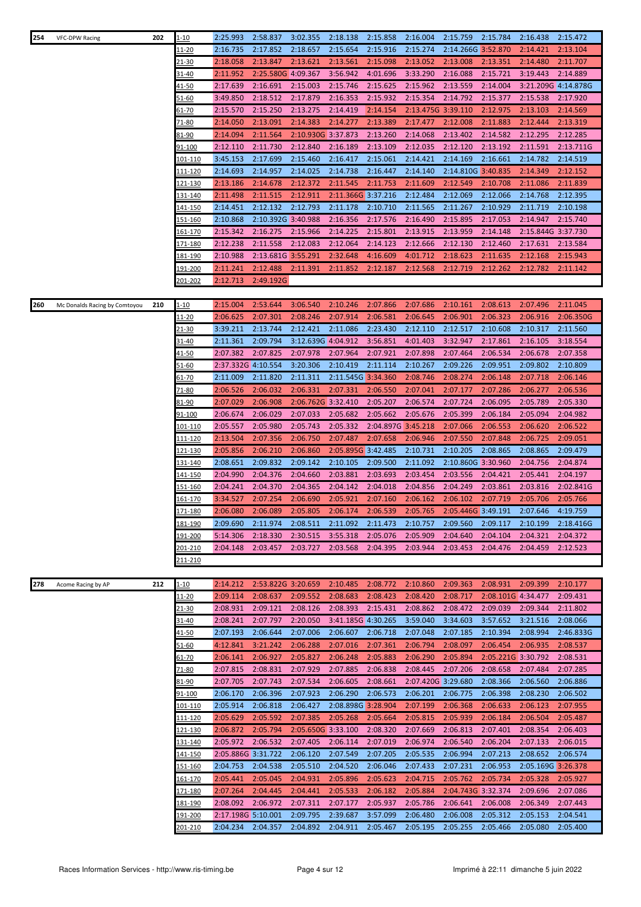| 254 | VFC-DPW Racing                | 202 | 1-10            | 2:25.993           | 2:58.837           | 3:02.355           | 2:18.138           | 2:15.858           | 2:16.004           | 2:15.759                                      | 2:15.784           | 2:16.438           | 2:15.472            |
|-----|-------------------------------|-----|-----------------|--------------------|--------------------|--------------------|--------------------|--------------------|--------------------|-----------------------------------------------|--------------------|--------------------|---------------------|
|     |                               |     | 11-20           | 2:16.735           | 2:17.852           | 2:18.657           | 2:15.654           | 2:15.916           | 2:15.274           | 2:14.266G 3:52.870                            |                    | 2:14.421           | 2:13.104            |
|     |                               |     | 21-30           | 2:18.058           | 2:13.847           | 2:13.621           | 2:13.561           | 2:15.098           | 2:13.052           | 2:13.008                                      | 2:13.351           | 2:14.480           | 2:11.707            |
|     |                               |     | 31-40           | 2:11.952           | 2:25.580G 4:09.367 |                    | 3:56.942           | 4:01.696           | 3:33.290           | 2:16.088                                      | 2:15.721           | 3:19.443           | 2:14.889            |
|     |                               |     | $41 - 50$       | 2:17.639           | 2:16.691           | 2:15.003           | 2:15.746           | 2:15.625           | 2:15.962           | 2:13.559                                      | 2:14.004           |                    | 3:21.209G 4:14.878G |
|     |                               |     | 51-60           | 3:49.850           | 2:18.512           | 2:17.879           | 2:16.353           | 2:15.932           | 2:15.354           | 2:14.792                                      | 2:15.377           | 2:15.538           | 2:17.920            |
|     |                               |     | <u>61-70</u>    | 2:15.570           | 2:15.250           | 2:13.275           | 2:14.419           | 2:14.154           | 2:13.475G 3:39.110 |                                               | 2:12.975           | 2:13.103           | 2:14.569            |
|     |                               |     |                 |                    |                    |                    |                    |                    |                    |                                               |                    |                    |                     |
|     |                               |     | 71-80           | 2:14.050           | 2:13.091           | 2:14.383           | 2:14.277           | 2:13.389           | 2:17.477           | 2:12.008                                      | 2:11.883           | 2:12.444           | 2:13.319            |
|     |                               |     | 81-90           | 2:14.094           | 2:11.564           | 2:10.930G 3:37.873 |                    | 2:13.260           | 2:14.068           | 2:13.402                                      | 2:14.582           | 2:12.295           | 2:12.285            |
|     |                               |     | 91-100          | 2:12.110           | 2:11.730           | 2:12.840           | 2:16.189           | 2:13.109           | 2:12.035           | 2:12.120                                      | 2:13.192           | 2:11.591           | 2:13.711G           |
|     |                               |     | 101-110         | 3:45.153           | 2:17.699           | 2:15.460           | 2:16.417           | 2:15.061           | 2:14.421           | 2:14.169                                      | 2:16.661           | 2:14.782           | 2:14.519            |
|     |                               |     | 111-120         | 2:14.693           | 2:14.957           | 2:14.025           | 2:14.738           | 2:16.447           | 2:14.140           | 2:14.810G 3:40.835                            |                    | 2:14.349           | 2:12.152            |
|     |                               |     | 121-130         | 2:13.186           | 2:14.678           | 2:12.372           | 2:11.545           | 2:11.753           | 2:11.609           | 2:12.549                                      | 2:10.708           | 2:11.086           | 2:11.839            |
|     |                               |     | 131-140         | 2:11.498           | 2:11.515           | 2:12.911           | 2:11.366G 3:37.216 |                    | 2:12.484           | 2:12.069                                      | 2:12.066           | 2:14.768           | 2:12.395            |
|     |                               |     | <u>141-150</u>  | 2:14.451           | 2:12.132           | 2:12.793           | 2:11.178           | 2:10.710           | 2:11.565           | 2:11.267                                      | 2:10.929           | 2:11.719           | 2:10.198            |
|     |                               |     | <u>151-160</u>  | 2:10.868           | 2:10.392G 3:40.988 |                    | 2:16.356           | 2:17.576           | 2:16.490           | 2:15.895                                      | 2:17.053           | 2:14.947           | 2:15.740            |
|     |                               |     | <u>161-170</u>  | 2:15.342           | 2:16.275           | 2:15.966           | 2:14.225           | 2:15.801           | 2:13.915           | 2:13.959                                      | 2:14.148           | 2:15.844G 3:37.730 |                     |
|     |                               |     | 171-180         | 2:12.238           | 2:11.558           | 2:12.083           | 2:12.064           | 2:14.123           | 2:12.666           | 2:12.130                                      | 2:12.460           | 2:17.631           | 2:13.584            |
|     |                               |     | 181-190         | 2:10.988           | 2:13.681G 3:55.291 |                    | 2:32.648           | 4:16.609           | 4:01.712           | 2:18.623                                      | 2:11.635           | 2:12.168           | 2:15.943            |
|     |                               |     | 191-200         | 2:11.241           | 2:12.488           | 2:11.391           | 2:11.852           | 2:12.187           | 2:12.568           | 2:12.719                                      | 2:12.262           | 2:12.782           | 2:11.142            |
|     |                               |     | 201-202         | 2:12.713           | 2:49.192G          |                    |                    |                    |                    |                                               |                    |                    |                     |
|     |                               |     |                 |                    |                    |                    |                    |                    |                    |                                               |                    |                    |                     |
| 260 | Mc Donalds Racing by Comtoyou | 210 | 1-10            | 2:15.004           | 2:53.644           | 3:06.540           | 2:10.246           | 2:07.866           | 2:07.686           | 2:10.161                                      | 2:08.613           | 2:07.496           | 2:11.045            |
|     |                               |     | 11-20           | 2:06.625           | 2:07.301           | 2:08.246           | 2:07.914           | 2:06.581           | 2:06.645           | 2:06.901                                      | 2:06.323           | 2:06.916           | 2:06.350G           |
|     |                               |     |                 |                    |                    |                    |                    | 2:23.430           |                    |                                               |                    |                    |                     |
|     |                               |     | 21-30           | 3:39.211           | 2:13.744           | 2:12.421           | 2:11.086           |                    | 2:12.110           | 2:12.517                                      | 2:10.608           | 2:10.317           | 2:11.560            |
|     |                               |     | 31-40           | 2:11.361           | 2:09.794           | 3:12.639G 4:04.912 |                    | 3:56.851           | 4:01.403           | 3:32.947                                      | 2:17.861           | 2:16.105           | 3:18.554            |
|     |                               |     | <u>41-50</u>    | 2:07.382           | 2:07.825           | 2:07.978           | 2:07.964           | 2:07.921           | 2:07.898           | 2:07.464                                      | 2:06.534           | 2:06.678           | 2:07.358            |
|     |                               |     | <u>51-60</u>    | 2:37.332G 4:10.554 |                    | 3:20.306           | 2:10.419           | 2:11.114           | 2:10.267           | 2:09.226                                      | 2:09.951           | 2:09.802           | 2:10.809            |
|     |                               |     | <u>61-70</u>    | 2:11.009           | 2:11.820           | 2:11.311           | 2:11.545G 3:34.360 |                    | 2:08.746           | 2:08.274                                      | 2:06.148           | 2:07.718           | 2:06.146            |
|     |                               |     | 71-80           | 2:06.526           | 2:06.032           | 2:06.331           | 2:07.331           | 2:06.550           | 2:07.041           | 2:07.177                                      | 2:07.286           | 2:06.277           | 2:06.536            |
|     |                               |     | 81-90           | 2:07.029           | 2:06.908           | 2:06.762G 3:32.410 |                    | 2:05.207           | 2:06.574           | 2:07.724                                      | 2:06.095           | 2:05.789           | 2:05.330            |
|     |                               |     | 91-100          | 2:06.674           | 2:06.029           | 2:07.033           | 2:05.682           | 2:05.662           | 2:05.676           | 2:05.399                                      | 2:06.184           | 2:05.094           | 2:04.982            |
|     |                               |     | <u> 101-110</u> | 2:05.557           | 2:05.980           | 2:05.743           | 2:05.332           | 2:04.897G 3:45.218 |                    | 2:07.066                                      | 2:06.553           | 2:06.620           | 2:06.522            |
|     |                               |     | 111-120         | 2:13.504           | 2:07.356           | 2:06.750           | 2:07.487           | 2:07.658           | 2:06.946           | 2:07.550                                      | 2:07.848           | 2:06.725           | 2:09.051            |
|     |                               |     | 121-130         | 2:05.856           | 2:06.210           | 2:06.860           | 2:05.895G 3:42.485 |                    | 2:10.731           | 2:10.205                                      | 2:08.865           | 2:08.865           | 2:09.479            |
|     |                               |     | 131-140         | 2:08.651           | 2:09.832           | 2:09.142           | 2:10.105           | 2:09.500           | 2:11.092           | 2:10.860G 3:30.960                            |                    | 2:04.756           | 2:04.874            |
|     |                               |     | 141-150         | 2:04.990           | 2:04.376           | 2:04.660           | 2:03.881           | 2:03.693           | 2:03.454           | 2:03.556                                      | 2:04.421           | 2:05.441           | 2:04.197            |
|     |                               |     | <u>151-160</u>  | 2:04.241           | 2:04.370           | 2:04.365           | 2:04.142           | 2:04.018           | 2:04.856           | 2:04.249                                      | 2:03.861           | 2:03.816           | 2:02.841G           |
|     |                               |     | 161-170         | 3:34.527           | 2:07.254           | 2:06.690           | 2:05.921           | 2:07.160           | 2:06.162           | 2:06.102                                      | 2:07.719           | 2:05.706           | 2:05.766            |
|     |                               |     | 171-180         | 2:06.080           | 2:06.089           | 2:05.805           |                    |                    |                    | 2:06.174 2:06.539 2:05.765 2:05.446G 3:49.191 |                    | 2:07.646           | 4:19.759            |
|     |                               |     | 181-190         | 2:09.690           | 2:11.974           | 2:08.511           | 2:11.092           | 2:11.473           | 2:10.757           | 2:09.560                                      | 2:09.117           | 2:10.199           | 2:18.416G           |
|     |                               |     |                 |                    |                    |                    |                    |                    |                    | 2:04.640                                      | 2:04.104           |                    |                     |
|     |                               |     | 191-200         | 5:14.306           | 2:18.330           | 2:30.515           | 3:55.318           | 2:05.076           | 2:05.909           |                                               |                    | 2:04.321           | 2:04.372            |
|     |                               |     | 201-210         | 2:04.148           | 2:03.457           | 2:03.727           | 2:03.568           | 2:04.395           | 2:03.944           | 2:03.453                                      | 2:04.476           | 2:04.459           | 2:12.523            |
|     |                               |     | <u>211-210</u>  |                    |                    |                    |                    |                    |                    |                                               |                    |                    |                     |
|     |                               |     |                 |                    |                    |                    |                    |                    |                    |                                               |                    |                    |                     |
| 278 | Acome Racing by AP            | 212 | 1-10            | 2:14.212           | 2:53.822G 3:20.659 |                    | 2:10.485           | 2:08.772           | 2:10.860           | 2:09.363                                      | 2:08.931           | 2:09.399           | 2:10.177            |
|     |                               |     | 11-20           | 2:09.114           | 2:08.637           | 2:09.552           | 2:08.683           | 2:08.423           | 2:08.420           | 2:08.717                                      | 2:08.101G 4:34.477 |                    | 2:09.431            |
|     |                               |     | 21-30           | 2:08.931           | 2:09.121           | 2:08.126           | 2:08.393           | 2:15.431           | 2:08.862           | 2:08.472                                      | 2:09.039           | 2:09.344           | 2:11.802            |
|     |                               |     | 31-40           | 2:08.241           | 2:07.797           | 2:20.050           | 3:41.185G 4:30.265 |                    | 3:59.040           | 3:34.603                                      | 3:57.652           | 3:21.516           | 2:08.066            |
|     |                               |     | <u>41-50</u>    | 2:07.193           | 2:06.644           | 2:07.006           | 2:06.607           | 2:06.718           | 2:07.048           | 2:07.185                                      | 2:10.394           | 2:08.994           | 2:46.833G           |
|     |                               |     | 51-60           | 4:12.841           | 3:21.242           | 2:06.288           | 2:07.016           | 2:07.361           | 2:06.794           | 2:08.097                                      | 2:06.454           | 2:06.935           | 2:08.537            |
|     |                               |     | <u>61-70</u>    | 2:06.141           | 2:06.927           | 2:05.827           | 2:06.248           | 2:05.883           | 2:06.290           | 2:05.894                                      | 2:05.221G 3:30.792 |                    | 2:08.531            |
|     |                               |     | 71-80           | 2:07.815           | 2:08.831           | 2:07.929           | 2:07.885           | 2:06.838           | 2:08.445           | 2:07.206                                      | 2:08.658           | 2:07.484           | 2:07.285            |
|     |                               |     | 81-90           | 2:07.705           | 2:07.743           | 2:07.534           | 2:06.605           | 2:08.661           | 2:07.420G 3:29.680 |                                               | 2:08.366           | 2:06.560           | 2:06.886            |
|     |                               |     | 91-100          | 2:06.170           | 2:06.396           | 2:07.923           | 2:06.290           | 2:06.573           | 2:06.201           | 2:06.775                                      | 2:06.398           | 2:08.230           | 2:06.502            |
|     |                               |     | <u> 101-110</u> | 2:05.914           | 2:06.818           | 2:06.427           | 2:08.898G 3:28.904 |                    | 2:07.199           | 2:06.368                                      | 2:06.633           | 2:06.123           | 2:07.955            |
|     |                               |     | 111-120         | 2:05.629           | 2:05.592           | 2:07.385           | 2:05.268           | 2:05.664           | 2:05.815           | 2:05.939                                      | 2:06.184           | 2:06.504           | 2:05.487            |
|     |                               |     | <u> 121-130</u> | 2:06.872           | 2:05.794           | 2:05.650G 3:33.100 |                    | 2:08.320           | 2:07.669           | 2:06.813                                      | 2:07.401           | 2:08.354           | 2:06.403            |
|     |                               |     | 131-140         | 2:05.972           | 2:06.532           | 2:07.405           | 2:06.114           | 2:07.019           | 2:06.974           | 2:06.540                                      | 2:06.204           | 2:07.133           | 2:06.015            |
|     |                               |     | 141-150         | 2:05.886G 3:31.722 |                    | 2:06.120           | 2:07.549           | 2:07.205           | 2:05.535           | 2:06.994                                      | 2:07.213           | 2:08.652           | 2:06.574            |
|     |                               |     |                 |                    |                    |                    |                    |                    |                    |                                               |                    |                    |                     |
|     |                               |     | <u>151-160</u>  | 2:04.753           | 2:04.538           | 2:05.510           | 2:04.520           | 2:06.046           | 2:07.433           | 2:07.231                                      | 2:06.953           | 2:05.169G 3:26.378 |                     |
|     |                               |     | 161-170         | 2:05.441           | 2:05.045           | 2:04.931           | 2:05.896           | 2:05.623           | 2:04.715           | 2:05.762                                      | 2:05.734           | 2:05.328           | 2:05.927            |
|     |                               |     | 171-180         | 2:07.264           | 2:04.445           | 2:04.441           | 2:05.533           | 2:06.182           | 2:05.884           | 2:04.743G 3:32.374                            |                    | 2:09.696           | 2:07.086            |
|     |                               |     | 181-190         | 2:08.092           | 2:06.972           | 2:07.311           | 2:07.177           | 2:05.937           | 2:05.786           | 2:06.641                                      | 2:06.008           | 2:06.349           | 2:07.443            |
|     |                               |     | <u> 191-200</u> | 2:17.198G 5:10.001 |                    | 2:09.795           | 2:39.687           | 3:57.099           | 2:06.480           | 2:06.008                                      | 2:05.312           | 2:05.153           | 2:04.541            |
|     |                               |     | <u> 201-210</u> | 2:04.234           | 2:04.357           | 2:04.892           | 2:04.911           | 2:05.467           | 2:05.195           | 2:05.255                                      | 2:05.466           | 2:05.080           | 2:05.400            |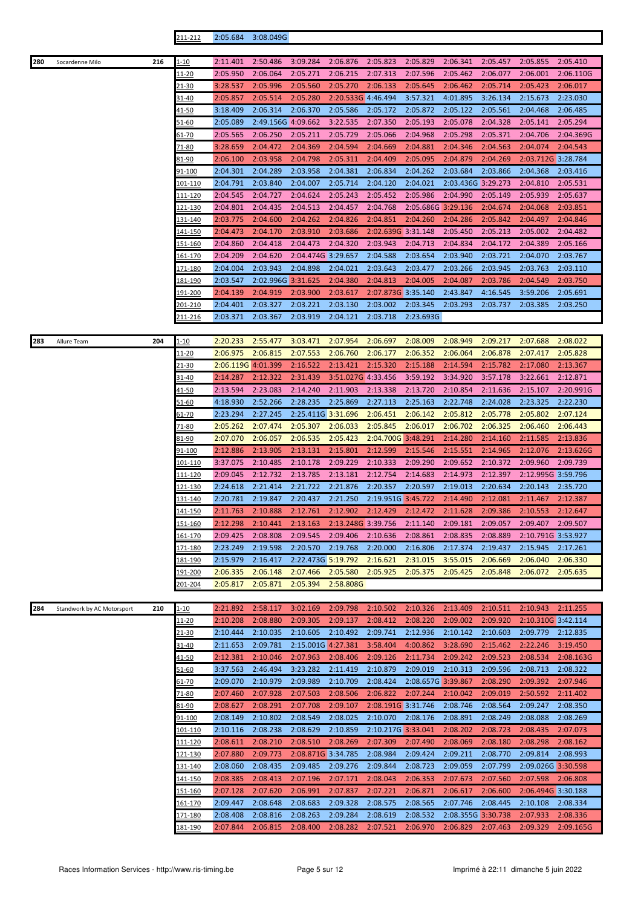|--|

| 280 | Socardenne Milo            | 216 | 1-10            | 2:11.401           | 2:50.486           | 3:09.284           | 2:06.876           | 2:05.823           | 2:05.829           | 2:06.341           | 2:05.457 | 2:05.855           | 2:05.410  |
|-----|----------------------------|-----|-----------------|--------------------|--------------------|--------------------|--------------------|--------------------|--------------------|--------------------|----------|--------------------|-----------|
|     |                            |     | 11-20           | 2:05.950           | 2:06.064           | 2:05.271           | 2:06.215           | 2:07.313           | 2:07.596           | 2:05.462           | 2:06.077 | 2:06.001           | 2:06.110G |
|     |                            |     | <u>21-30</u>    | 3:28.537           | 2:05.996           | 2:05.560           | 2:05.270           | 2:06.133           | 2:05.645           | 2:06.462           | 2:05.714 | 2:05.423           | 2:06.017  |
|     |                            |     | <u>31-40</u>    | 2:05.857           | 2:05.514           | 2:05.280           | 2:20.533G 4:46.494 |                    | 3:57.321           | 4:01.895           | 3:26.134 | 2:15.673           | 2:23.030  |
|     |                            |     | <u>41-50</u>    | 3:18.409           | 2:06.314           | 2:06.370           | 2:05.586           | 2:05.172           | 2:05.872           | 2:05.122           | 2:05.561 | 2:04.468           | 2:06.485  |
|     |                            |     | 51-60           | 2:05.089           | 2:49.156G 4:09.662 |                    | 3:22.535           | 2:07.350           | 2:05.193           | 2:05.078           | 2:04.328 | 2:05.141           | 2:05.294  |
|     |                            |     | 61-70           | 2:05.565           | 2:06.250           | 2:05.211           | 2:05.729           | 2:05.066           | 2:04.968           | 2:05.298           | 2:05.371 | 2:04.706           | 2:04.369G |
|     |                            |     | 71-80           | 3:28.659           | 2:04.472           | 2:04.369           | 2:04.594           | 2:04.669           | 2:04.881           | 2:04.346           | 2:04.563 | 2:04.074           | 2:04.543  |
|     |                            |     |                 |                    |                    |                    | 2:05.311           |                    |                    |                    | 2:04.269 | 2:03.712G 3:28.784 |           |
|     |                            |     | 81-90           | 2:06.100           | 2:03.958           | 2:04.798           |                    | 2:04.409           | 2:05.095           | 2:04.879           |          |                    |           |
|     |                            |     | 91-100          | 2:04.301           | 2:04.289           | 2:03.958           | 2:04.381           | 2:06.834           | 2:04.262           | 2:03.684           | 2:03.866 | 2:04.368           | 2:03.416  |
|     |                            |     | 101-110         | 2:04.791           | 2:03.840           | 2:04.007           | 2:05.714           | 2:04.120           | 2:04.021           | 2:03.436G 3:29.273 |          | 2:04.810           | 2:05.531  |
|     |                            |     | <u> 111-120</u> | 2:04.545           | 2:04.727           | 2:04.624           | 2:05.243           | 2:05.452           | 2:05.986           | 2:04.990           | 2:05.149 | 2:05.939           | 2:05.637  |
|     |                            |     | 121-130         | 2:04.801           | 2:04.435           | 2:04.513           | 2:04.457           | 2:04.768           | 2:05.686G 3:29.136 |                    | 2:04.674 | 2:04.068           | 2:03.851  |
|     |                            |     | <u>131-140</u>  | 2:03.775           | 2:04.600           | 2:04.262           | 2:04.826           | 2:04.851           | 2:04.260           | 2:04.286           | 2:05.842 | 2:04.497           | 2:04.846  |
|     |                            |     | <u> 141-150</u> | 2:04.473           | 2:04.170           | 2:03.910           | 2:03.686           | 2:02.639G 3:31.148 |                    | 2:05.450           | 2:05.213 | 2:05.002           | 2:04.482  |
|     |                            |     | <u>151-160</u>  | 2:04.860           | 2:04.418           | 2:04.473           | 2:04.320           | 2:03.943           | 2:04.713           | 2:04.834           | 2:04.172 | 2:04.389           | 2:05.166  |
|     |                            |     | 161-170         | 2:04.209           | 2:04.620           | 2:04.474G 3:29.657 |                    | 2:04.588           | 2:03.654           | 2:03.940           | 2:03.721 | 2:04.070           | 2:03.767  |
|     |                            |     | <u>171-180</u>  | 2:04.004           | 2:03.943           | 2:04.898           | 2:04.021           | 2:03.643           | 2:03.477           | 2:03.266           | 2:03.945 | 2:03.763           | 2:03.110  |
|     |                            |     | 181-190         | 2:03.547           | 2:02.996G 3:31.625 |                    | 2:04.380           | 2:04.813           | 2:04.005           | 2:04.087           | 2:03.786 | 2:04.549           | 2:03.750  |
|     |                            |     | <u>191-200</u>  | 2:04.139           | 2:04.919           | 2:03.900           | 2:03.617           | 2:07.873G 3:35.140 |                    | 2:43.847           | 4:16.545 | 3:59.206           | 2:05.691  |
|     |                            |     | 201-210         | 2:04.401           | 2:03.327           | 2:03.221           | 2:03.130           | 2:03.002           | 2:03.345           | 2:03.293           | 2:03.737 | 2:03.385           | 2:03.250  |
|     |                            |     | 211-216         | 2:03.371           | 2:03.367           | 2:03.919           | 2:04.121           | 2:03.718           | 2:23.693G          |                    |          |                    |           |
|     |                            |     |                 |                    |                    |                    |                    |                    |                    |                    |          |                    |           |
| 283 | Allure Team                | 204 | 1-10            | 2:20.233           | 2:55.477           | 3:03.471           | 2:07.954           | 2:06.697           | 2:08.009           | 2:08.949           | 2:09.217 | 2:07.688           | 2:08.022  |
|     |                            |     | <u> 11-20</u>   | 2:06.975           | 2:06.815           | 2:07.553           | 2:06.760           | 2:06.177           | 2:06.352           | 2:06.064           | 2:06.878 | 2:07.417           | 2:05.828  |
|     |                            |     | $21 - 30$       | 2:06.119G 4:01.399 |                    | 2:16.522           | 2:13.421           | 2:15.320           | 2:15.188           | 2:14.594           | 2:15.782 | 2:17.080           | 2:13.367  |
|     |                            |     | 31-40           | 2:14.287           | 2:12.322           | 2:31.439           | 3:51.027G 4:33.456 |                    | 3:59.192           | 3:34.920           | 3:57.178 | 3:22.661           | 2:12.871  |
|     |                            |     | 41-50           | 2:13.594           | 2:23.083           | 2:14.240           | 2:11.903           | 2:13.338           | 2:13.720           | 2:10.854           | 2:11.636 | 2:15.107           | 2:20.991G |
|     |                            |     |                 |                    |                    |                    |                    |                    |                    |                    |          |                    |           |
|     |                            |     | <u>51-60</u>    | 4:18.930           | 2:52.266           | 2:28.235           | 2:25.869           | 2:27.113           | 2:25.163           | 2:22.748           | 2:24.028 | 2:23.325           | 2:22.230  |
|     |                            |     | 61-70           | 2:23.294           | 2:27.245           | 2:25.411G 3:31.696 |                    | 2:06.451           | 2:06.142           | 2:05.812           | 2:05.778 | 2:05.802           | 2:07.124  |
|     |                            |     | 71-80           | 2:05.262           | 2:07.474           | 2:05.307           | 2:06.033           | 2:05.845           | 2:06.017           | 2:06.702           | 2:06.325 | 2:06.460           | 2:06.443  |
|     |                            |     | 81-90           | 2:07.070           | 2:06.057           | 2:06.535           | 2:05.423           | 2:04.700G 3:48.291 |                    | 2:14.280           | 2:14.160 | 2:11.585           | 2:13.836  |
|     |                            |     | 91-100          | 2:12.886           | 2:13.905           | 2:13.131           | 2:15.801           | 2:12.599           | 2:15.546           | 2:15.551           | 2:14.965 | 2:12.076           | 2:13.626G |
|     |                            |     | 101-110         | 3:37.075           | 2:10.485           | 2:10.178           | 2:09.229           | 2:10.333           | 2:09.290           | 2:09.652           | 2:10.372 | 2:09.960           | 2:09.739  |
|     |                            |     | 111-120         | 2:09.045           | 2:12.732           | 2:13.785           | 2:13.181           | 2:12.754           | 2:14.683           | 2:14.973           | 2:12.397 | 2:12.995G 3:59.796 |           |
|     |                            |     | 121-130         | 2:24.618           | 2:21.414           | 2:21.722           | 2:21.876           | 2:20.357           | 2:20.597           | 2:19.013           | 2:20.634 | 2:20.143           | 2:35.720  |
|     |                            |     | <u>131-140</u>  | 2:20.781           | 2:19.847           | 2:20.437           | 2:21.250           | 2:19.951G 3:45.722 |                    | 2:14.490           | 2:12.081 | 2:11.467           | 2:12.387  |
|     |                            |     | <u>141-150</u>  | 2:11.763           | 2:10.888           | 2:12.761           | 2:12.902           | 2:12.429           | 2:12.472           | 2:11.628           | 2:09.386 | 2:10.553           | 2:12.647  |
|     |                            |     | 151-160         | 2:12.298           | 2:10.441           | 2:13.163           | 2:13.248G 3:39.756 |                    | 2:11.140           | 2:09.181           | 2:09.057 | 2:09.407           | 2:09.507  |
|     |                            |     | 161-170         | 2:09.425           | 2:08.808           | 2:09.545           | 2:09.406           | 2:10.636           | 2:08.861           | 2:08.835           | 2:08.889 | 2:10.791G 3:53.927 |           |
|     |                            |     | 171-180         | 2:23.249           | 2:19.598           | 2:20.570           | 2:19.768           | 2:20.000           | 2:16.806           | 2:17.374           | 2:19.437 | 2:15.945           | 2:17.261  |
|     |                            |     | 181-190         | 2:15.979           | 2:16.417           | 2:22.473G 5:19.792 |                    | 2:16.621           | 2:31.015           | 3:55.015           | 2:06.669 | 2:06.040           | 2:06.330  |
|     |                            |     | <u>191-200</u>  | 2:06.335           | 2:06.148           | 2:07.466           | 2:05.580           | 2:05.925           | 2:05.375           | 2:05.425           | 2:05.848 | 2:06.072           | 2:05.635  |
|     |                            |     | 201-204         | 2:05.817           | 2:05.871           | 2:05.394           | 2:58.808G          |                    |                    |                    |          |                    |           |
|     |                            |     |                 |                    |                    |                    |                    |                    |                    |                    |          |                    |           |
| 284 | Standwork by AC Motorsport | 210 | 1-10            | 2:21.892           | 2:58.117           | 3:02.169           | 2:09.798           | 2:10.502           | 2:10.326           | 2:13.409           | 2:10.511 | 2:10.943           | 2:11.255  |
|     |                            |     | 11-20           | 2:10.208           | 2:08.880           | 2:09.305           | 2:09.137           | 2:08.412           | 2:08.220           | 2:09.002           | 2:09.920 | 2:10.310G 3:42.114 |           |
|     |                            |     | <u>21-30</u>    | 2:10.444           | 2:10.035           | 2:10.605           | 2:10.492           | 2:09.741           | 2:12.936           | 2:10.142           | 2:10.603 | 2:09.779           | 2:12.835  |
|     |                            |     | 31-40           | 2:11.653           | 2:09.781           | 2:15.001G 4:27.381 |                    | 3:58.404           | 4:00.862           | 3:28.690           | 2:15.462 | 2:22.246           | 3:19.450  |
|     |                            |     | 41-50           | 2:12.381           | 2:10.046           | 2:07.963           | 2:08.406           | 2:09.126           | 2:11.734           | 2:09.242           | 2:09.523 | 2:08.534           | 2:08.163G |
|     |                            |     | 51-60           | 3:37.563           | 2:46.494           | 3:23.282           | 2:11.419           | 2:10.879           | 2:09.019           | 2:10.313           | 2:09.596 | 2:08.713           | 2:08.322  |
|     |                            |     | 61-70           | 2:09.070           | 2:10.979           | 2:09.989           | 2:10.709           | 2:08.424           | 2:08.657G 3:39.867 |                    | 2:08.290 | 2:09.392           | 2:07.946  |
|     |                            |     | 71-80           | 2:07.460           | 2:07.928           | 2:07.503           | 2:08.506           | 2:06.822           | 2:07.244           | 2:10.042           | 2:09.019 | 2:50.592           | 2:11.402  |
|     |                            |     | 81-90           | 2:08.627           | 2:08.291           | 2:07.708           | 2:09.107           | 2:08.191G 3:31.746 |                    | 2:08.746           | 2:08.564 | 2:09.247           | 2:08.350  |
|     |                            |     |                 |                    |                    |                    |                    |                    |                    |                    |          |                    |           |
|     |                            |     | 91-100          | 2:08.149           | 2:10.802           | 2:08.549           | 2:08.025           | 2:10.070           | 2:08.176           | 2:08.891           | 2:08.249 | 2:08.088           | 2:08.269  |
|     |                            |     | 101-110         | 2:10.116           | 2:08.238           | 2:08.629           | 2:10.859           | 2:10.217G 3:33.041 |                    | 2:08.202           | 2:08.723 | 2:08.435           | 2:07.073  |
|     |                            |     | 111-120         | 2:08.611           | 2:08.210           | 2:08.510           | 2:08.269           | 2:07.309           | 2:07.490           | 2:08.069           | 2:08.180 | 2:08.298           | 2:08.162  |
|     |                            |     | 121-130         | 2:07.880           | 2:09.773           | 2:08.871G 3:34.785 |                    | 2:08.984           | 2:09.424           | 2:09.211           | 2:08.770 | 2:09.814           | 2:08.993  |
|     |                            |     | 131-140         | 2:08.060           | 2:08.435           | 2:09.485           | 2:09.276           | 2:09.844           | 2:08.723           | 2:09.059           | 2:07.799 | 2:09.026G 3:30.598 |           |
|     |                            |     | 141-150         | 2:08.385           | 2:08.413           | 2:07.196           | 2:07.171           | 2:08.043           | 2:06.353           | 2:07.673           | 2:07.560 | 2:07.598           | 2:06.808  |
|     |                            |     | 151-160         | 2:07.128           | 2:07.620           | 2:06.991           | 2:07.837           | 2:07.221           | 2:06.871           | 2:06.617           | 2:06.600 | 2:06.494G 3:30.188 |           |
|     |                            |     | <u>161-170</u>  | 2:09.447           | 2:08.648           | 2:08.683           | 2:09.328           | 2:08.575           | 2:08.565           | 2:07.746           | 2:08.445 | 2:10.108           | 2:08.334  |
|     |                            |     | 171-180         | 2:08.408           | 2:08.816           | 2:08.263           | 2:09.284           | 2:08.619           | 2:08.532           | 2:08.355G 3:30.738 |          | 2:07.933           | 2:08.336  |
|     |                            |     | <u>181-190</u>  | 2:07.844           | 2:06.815           | 2:08.400           | 2:08.282           | 2:07.521           | 2:06.970           | 2:06.829           | 2:07.463 | 2:09.329           | 2:09.165G |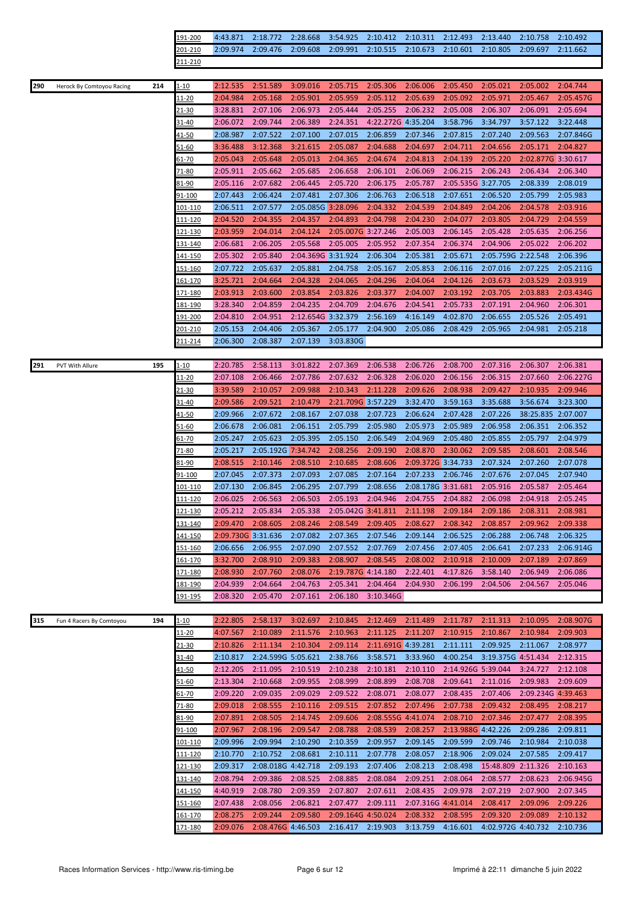|     |                           |     | 91-200          | 4:43.871           | 2:18.772           | 2:28.668           | 3:54.925           | 2:10.412           | 2:10.311           | 2:12.493           | 2:13.440           | 2:10.758           | 2:10.492  |
|-----|---------------------------|-----|-----------------|--------------------|--------------------|--------------------|--------------------|--------------------|--------------------|--------------------|--------------------|--------------------|-----------|
|     |                           |     | 201-210         | 2:09.974           | 2:09.476           | 2:09.608           | 2:09.991           | 2:10.515           | 2:10.673           | 2:10.601           | 2:10.805           | 2:09.697           | 2:11.662  |
|     |                           |     | 211-210         |                    |                    |                    |                    |                    |                    |                    |                    |                    |           |
|     |                           |     |                 |                    |                    |                    |                    |                    |                    |                    |                    |                    |           |
|     |                           |     |                 |                    |                    |                    |                    |                    |                    |                    |                    |                    |           |
| 290 | Herock By Comtoyou Racing | 214 | <u>l-10</u>     | 2:12.535           | 2:51.589           | 3:09.016           | 2:05.715           | 2:05.306           | 2:06.006           | 2:05.450           | 2:05.021           | 2:05.002           | 2:04.744  |
|     |                           |     | <u> 11-20</u>   | 2:04.984           | 2:05.168           | 2:05.901           | 2:05.959           | 2:05.112           | 2:05.639           | 2:05.092           | 2:05.971           | 2:05.467           | 2:05.457G |
|     |                           |     | 21-30           | 3:28.831           | 2:07.106           | 2:06.973           | 2:05.444           | 2:05.255           | 2:06.232           | 2:05.008           | 2:06.307           | 2:06.091           | 2:05.694  |
|     |                           |     | 31-40           | 2:06.072           | 2:09.744           | 2:06.389           | 2:24.351           | 4:22.272G 4:35.204 |                    | 3:58.796           | 3:34.797           | 3:57.122           | 3:22.448  |
|     |                           |     | 41-50           | 2:08.987           | 2:07.522           | 2:07.100           | 2:07.015           | 2:06.859           | 2:07.346           | 2:07.815           | 2:07.240           | 2:09.563           | 2:07.846G |
|     |                           |     |                 |                    |                    |                    |                    |                    |                    |                    |                    |                    |           |
|     |                           |     | 51-60           | 3:36.488           | 3:12.368           | 3:21.615           | 2:05.087           | 2:04.688           | 2:04.697           | 2:04.711           | 2:04.656           | 2:05.171           | 2:04.827  |
|     |                           |     | 61-70           | 2:05.043           | 2:05.648           | 2:05.013           | 2:04.365           | 2:04.674           | 2:04.813           | 2:04.139           | 2:05.220           | 2:02.877G 3:30.617 |           |
|     |                           |     | 71-80           | 2:05.911           | 2:05.662           | 2:05.685           | 2:06.658           | 2:06.101           | 2:06.069           | 2:06.215           | 2:06.243           | 2:06.434           | 2:06.340  |
|     |                           |     | 81-90           | 2:05.116           | 2:07.682           | 2:06.445           | 2:05.720           | 2:06.175           | 2:05.787           | 2:05.535G 3:27.705 |                    | 2:08.339           | 2:08.019  |
|     |                           |     | 91-100          | 2:07.443           | 2:06.424           | 2:07.481           | 2:07.306           | 2:06.763           | 2:06.518           | 2:07.651           | 2:06.520           | 2:05.799           | 2:05.983  |
|     |                           |     |                 |                    |                    |                    |                    |                    |                    |                    |                    |                    |           |
|     |                           |     | 101-110         | 2:06.511           | 2:07.577           | 2:05.085G 3:28.096 |                    | 2:04.332           | 2:04.539           | 2:04.849           | 2:04.206           | 2:04.578           | 2:03.916  |
|     |                           |     | <u> 111-120</u> | 2:04.520           | 2:04.355           | 2:04.357           | 2:04.893           | 2:04.798           | 2:04.230           | 2:04.077           | 2:03.805           | 2:04.729           | 2:04.559  |
|     |                           |     | <u>121-130</u>  | 2:03.959           | 2:04.014           | 2:04.124           | 2:05.007G 3:27.246 |                    | 2:05.003           | 2:06.145           | 2:05.428           | 2:05.635           | 2:06.256  |
|     |                           |     | 131-140         | 2:06.681           | 2:06.205           | 2:05.568           | 2:05.005           | 2:05.952           | 2:07.354           | 2:06.374           | 2:04.906           | 2:05.022           | 2:06.202  |
|     |                           |     | 141-150         | 2:05.302           | 2:05.840           | 2:04.369G 3:31.924 |                    | 2:06.304           | 2:05.381           | 2:05.671           | 2:05.759G 2:22.548 |                    | 2:06.396  |
|     |                           |     |                 |                    |                    |                    |                    |                    |                    | 2:06.116           | 2:07.016           |                    |           |
|     |                           |     | 151-160         | 2:07.722           | 2:05.637           | 2:05.881           | 2:04.758           | 2:05.167           | 2:05.853           |                    |                    | 2:07.225           | 2:05.211G |
|     |                           |     | 161-170         | 3:25.721           | 2:04.664           | 2:04.328           | 2:04.065           | 2:04.296           | 2:04.064           | 2:04.126           | 2:03.673           | 2:03.529           | 2:03.919  |
|     |                           |     | 171-180         | 2:03.913           | 2:03.600           | 2:03.854           | 2:03.826           | 2:03.377           | 2:04.007           | 2:03.192           | 2:03.705           | 2:03.883           | 2:03.434G |
|     |                           |     | <u>181-190</u>  | 3:28.340           | 2:04.859           | 2:04.235           | 2:04.709           | 2:04.676           | 2:04.541           | 2:05.733           | 2:07.191           | 2:04.960           | 2:06.301  |
|     |                           |     | 191-200         | 2:04.810           | 2:04.951           | 2:12.654G 3:32.379 |                    | 2:56.169           | 4:16.149           | 4:02.870           | 2:06.655           | 2:05.526           | 2:05.491  |
|     |                           |     |                 | 2:05.153           | 2:04.406           | 2:05.367           | 2:05.177           | 2:04.900           | 2:05.086           | 2:08.429           | 2:05.965           | 2:04.981           | 2:05.218  |
|     |                           |     | 201-210         |                    |                    |                    |                    |                    |                    |                    |                    |                    |           |
|     |                           |     | 211-214         | 2:06.300           | 2:08.387           | 2:07.139           | 3:03.830G          |                    |                    |                    |                    |                    |           |
|     |                           |     |                 |                    |                    |                    |                    |                    |                    |                    |                    |                    |           |
| 291 | PVT With Allure           | 195 | <u>l-10</u>     | 2:20.785           | 2:58.113           | 3:01.822           | 2:07.369           | 2:06.538           | 2:06.726           | 2:08.700           | 2:07.316           | 2:06.307           | 2:06.381  |
|     |                           |     | <u> 11-20</u>   | 2:07.108           | 2:06.466           | 2:07.786           | 2:07.632           | 2:06.328           | 2:06.020           | 2:06.156           | 2:06.315           | 2:07.660           | 2:06.227G |
|     |                           |     | 21-30           | 3:39.589           | 2:10.057           | 2:09.988           | 2:10.343           | 2:11.228           | 2:09.626           | 2:08.938           | 2:09.427           | 2:10.935           | 2:09.946  |
|     |                           |     |                 |                    |                    |                    |                    |                    |                    |                    |                    |                    |           |
|     |                           |     | 31-40           | 2:09.586           | 2:09.521           | 2:10.479           | 2:21.709G 3:57.229 |                    | 3:32.470           | 3:59.163           | 3:35.688           | 3:56.674           | 3:23.300  |
|     |                           |     | 41-50           | 2:09.966           | 2:07.672           | 2:08.167           | 2:07.038           | 2:07.723           | 2:06.624           | 2:07.428           | 2:07.226           | 38:25.835          | 2:07.007  |
|     |                           |     | 51-60           | 2:06.678           | 2:06.081           | 2:06.151           | 2:05.799           | 2:05.980           | 2:05.973           | 2:05.989           | 2:06.958           | 2:06.351           | 2:06.352  |
|     |                           |     | 61-70           | 2:05.247           | 2:05.623           | 2:05.395           | 2:05.150           | 2:06.549           | 2:04.969           | 2:05.480           | 2:05.855           | 2:05.797           | 2:04.979  |
|     |                           |     | 71-80           | 2:05.217           | 2:05.192G 7:34.742 |                    | 2:08.256           | 2:09.190           | 2:08.870           | 2:30.062           | 2:09.585           | 2:08.601           | 2:08.546  |
|     |                           |     | 81-90           | 2:08.515           | 2:10.146           | 2:08.510           | 2:10.685           | 2:08.606           | 2:09.372G 3:34.733 |                    | 2:07.324           | 2:07.260           | 2:07.078  |
|     |                           |     |                 |                    |                    |                    |                    |                    |                    |                    |                    |                    |           |
|     |                           |     | 91-100          | 2:07.045           | 2:07.373           | 2:07.093           | 2:07.085           | 2:07.164           | 2:07.233           | 2:06.746           | 2:07.676           | 2:07.045           | 2:07.940  |
|     |                           |     | <u> 101-110</u> | 2:07.130           | 2:06.845           | 2:06.295           | 2:07.799           | 2:08.656           | 2:08.178G 3:31.681 |                    | 2:05.916           | 2:05.587           | 2:05.464  |
|     |                           |     | <u>111-120</u>  | 2:06.025           | 2:06.563           | 2:06.503           | 2:05.193           | 2:04.946           | 2:04.755           | 2:04.882           | 2:06.098           | 2:04.918           | 2:05.245  |
|     |                           |     | 121-130         | 2:05.212           | 2:05.834           | 2:05.338           | 2:05.042G 3:41.811 |                    | 2:11.198           | 2:09.184           | 2:09.186           | 2:08.311           | 2:08.981  |
|     |                           |     | 131-140         | 2:09.470           | 2:08.605           | 2:08.246           | 2:08.549           | 2:09.405           | 2:08.627           | 2:08.342           | 2:08.857           | 2:09.962           | 2:09.338  |
|     |                           |     |                 |                    |                    |                    |                    |                    |                    |                    |                    |                    |           |
|     |                           |     | <u> 141-150</u> | 2:09.730G 3:31.636 |                    | 2:07.082           | 2:07.365           | 2:07.546           | 2:09.144           | 2:06.525           | 2:06.288           | 2:06.748           | 2:06.325  |
|     |                           |     | 151-160         | 2:06.656           | 2:06.955           | 2:07.090           | 2:07.552           | 2:07.769           | 2:07.456           | 2:07.405           | 2:06.641           | 2:07.233           | 2:06.914G |
|     |                           |     | 161-170         | 3:32.700           | 2:08.910           | 2:09.383           | 2:08.907           | 2:08.545           | 2:08.002           | 2:10.918           | 2:10.009           | 2:07.189           | 2:07.869  |
|     |                           |     | 171-180         | 2:08.930           | 2:07.760           | 2:08.076           | 2:19.787G 4:14.180 |                    | 2:22.401           | 4:17.826           | 3:58.140           | 2:06.949           | 2:06.086  |
|     |                           |     | 181-190         | 2:04.939           | 2:04.664           | 2:04.763           | 2:05.341           | 2:04.464           | 2:04.930           | 2:06.199           | 2:04.506           | 2:04.567           | 2:05.046  |
|     |                           |     |                 |                    |                    |                    |                    |                    |                    |                    |                    |                    |           |
|     |                           |     | 191-195         | 2:08.320           | 2:05.470           | 2:07.161           | 2:06.180           | 3:10.346G          |                    |                    |                    |                    |           |
|     |                           |     |                 |                    |                    |                    |                    |                    |                    |                    |                    |                    |           |
| 315 | Fun 4 Racers By Comtoyou  | 194 | $1 - 10$        | 2:22.805           | 2:58.137           | 3:02.697           | 2:10.845           | 2:12.469           | 2:11.489           | 2:11.787           | 2:11.313           | 2:10.095           | 2:08.907G |
|     |                           |     | $11 - 20$       | 4:07.567           | 2:10.089           | 2:11.576           | 2:10.963           | 2:11.125           | 2:11.207           | 2:10.915           | 2:10.867           | 2:10.984           | 2:09.903  |
|     |                           |     | <u>21-30</u>    | 2:10.826           | 2:11.134           | 2:10.304           | 2:09.114           | 2:11.691G 4:39.281 |                    | 2:11.111           | 2:09.925           | 2:11.067           | 2:08.977  |
|     |                           |     | 31-40           | 2:10.817           | 2:24.599G 5:05.621 |                    | 2:38.766           | 3:58.571           | 3:33.960           | 4:00.254           | 3:19.375G 4:51.434 |                    | 2:12.315  |
|     |                           |     |                 |                    |                    |                    |                    |                    |                    |                    |                    |                    |           |
|     |                           |     | <u>41-50</u>    | 2:12.205           | 2:11.095           | 2:10.519           | 2:10.238           | 2:10.181           | 2:10.110           | 2:14.926G 5:39.044 |                    | 3:24.727           | 2:12.108  |
|     |                           |     | 51-60           | 2:13.304           | 2:10.668           | 2:09.955           | 2:08.999           | 2:08.899           | 2:08.708           | 2:09.641           | 2:11.016           | 2:09.983           | 2:09.609  |
|     |                           |     | 61-70           | 2:09.220           | 2:09.035           | 2:09.029           | 2:09.522           | 2:08.071           | 2:08.077           | 2:08.435           | 2:07.406           | 2:09.234G 4:39.463 |           |
|     |                           |     | 71-80           | 2:09.018           | 2:08.555           | 2:10.116           | 2:09.515           | 2:07.852           | 2:07.496           | 2:07.738           | 2:09.432           | 2:08.495           | 2:08.217  |
|     |                           |     | 81-90           | 2:07.891           | 2:08.505           | 2:14.745           | 2:09.606           | 2:08.555G 4:41.074 |                    | 2:08.710           | 2:07.346           | 2:07.477           | 2:08.395  |
|     |                           |     |                 |                    |                    |                    |                    |                    |                    |                    |                    |                    |           |
|     |                           |     | 91-100          | 2:07.967           | 2:08.196           | 2:09.547           | 2:08.788           | 2:08.539           | 2:08.257           | 2:13.988G 4:42.226 |                    | 2:09.286           | 2:09.811  |
|     |                           |     | 101-110         | 2:09.996           | 2:09.994           | 2:10.290           | 2:10.359           | 2:09.957           | 2:09.145           | 2:09.599           | 2:09.746           | 2:10.984           | 2:10.038  |
|     |                           |     | 111-120         | 2:10.770           | 2:10.752           | 2:08.681           | 2:10.111           | 2:07.778           | 2:08.057           | 2:18.906           | 2:09.024           | 2:07.585           | 2:09.417  |
|     |                           |     | 121-130         | 2:09.317           | 2:08.018G 4:42.718 |                    | 2:09.193           | 2:07.406           | 2:08.213           | 2:08.498           | 15:48.809 2:11.326 |                    | 2:10.163  |
|     |                           |     | 131-140         | 2:08.794           | 2:09.386           | 2:08.525           | 2:08.885           | 2:08.084           | 2:09.251           | 2:08.064           | 2:08.577           | 2:08.623           | 2:06.945G |
|     |                           |     |                 | 4:40.919           | 2:08.780           | 2:09.359           | 2:07.807           | 2:07.611           | 2:08.435           | 2:09.978           | 2:07.219           | 2:07.900           |           |
|     |                           |     | <u>141-150</u>  |                    |                    |                    |                    |                    |                    |                    |                    |                    | 2:07.345  |
|     |                           |     | <u>151-160</u>  | 2:07.438           | 2:08.056           | 2:06.821           | 2:07.477           | 2:09.111           | 2:07.316G 4:41.014 |                    | 2:08.417           | 2:09.096           | 2:09.226  |
|     |                           |     | <u> 161-170</u> | 2:08.275           | 2:09.244           | 2:09.580           | 2:09.164G 4:50.024 |                    | 2:08.332           | 2:08.595           | 2:09.320           | 2:09.089           | 2:10.132  |
|     |                           |     | 171-180         | 2:09.076           | 2:08.476G 4:46.503 |                    | 2:16.417           | 2:19.903           | 3:13.759           | 4:16.601           | 4:02.972G 4:40.732 |                    | 2:10.736  |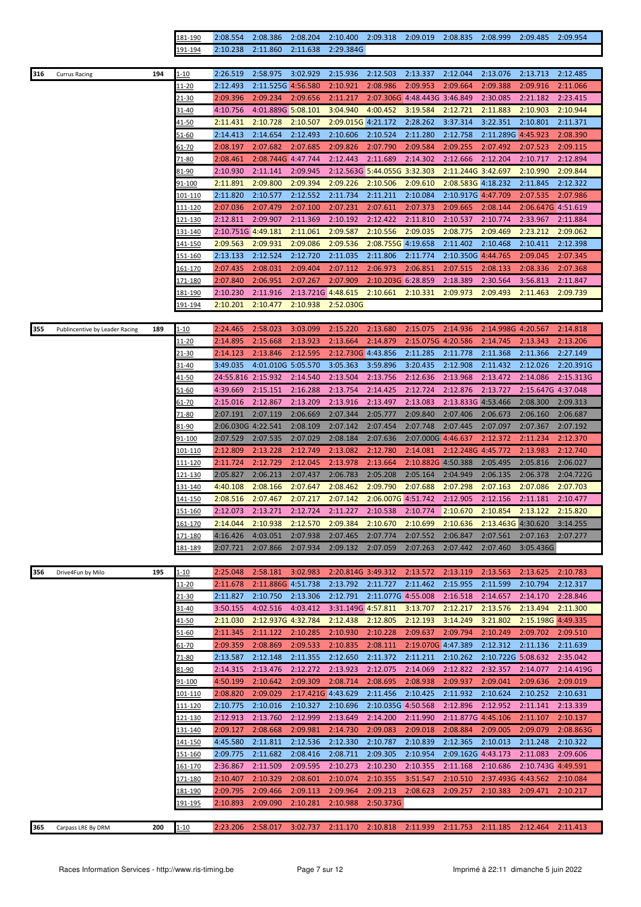|                                       |     | 181-190         | 2:08.554           | 2:08.386           | 2:08.204           | 2:10.400           | 2:09.318                     | 2:09.019                            | 2:08.835           | 2:08.999           | 2:09.485           | 2:09.954  |
|---------------------------------------|-----|-----------------|--------------------|--------------------|--------------------|--------------------|------------------------------|-------------------------------------|--------------------|--------------------|--------------------|-----------|
|                                       |     | 191-194         | 2:10.238           | 2:11.860           | 2:11.638           | 2:29.384G          |                              |                                     |                    |                    |                    |           |
|                                       |     |                 |                    |                    |                    |                    |                              |                                     |                    |                    |                    |           |
| 316<br><b>Currus Racing</b>           | 194 | $1 - 10$        | 2:26.519           | 2:58.975           | 3:02.929           | 2:15.936           | 2:12.503                     | 2:13.337                            | 2:12.044           | 2:13.076           | 2:13.713           | 2:12.485  |
|                                       |     | <u> 11-20</u>   | 2:12.493           | 2:11.525G 4:56.580 |                    | 2:10.921           | 2:08.986                     | 2:09.953                            | 2:09.664           | 2:09.388           | 2:09.916           | 2:11.066  |
|                                       |     | 21-30           | 2:09.396           | 2:09.234           | 2:09.656           | 2:11.217           |                              | 2:07.306G 4:48.443G 3:46.849        |                    | 2:30.085           | 2:21.182           | 2:23.415  |
|                                       |     | 31-40           | 4:10.756           | 4:01.889G 5:08.101 |                    | 3:04.940           | 4:00.452                     | 3:19.584                            | 2:12.721           | 2:11.883           | 2:10.903           | 2:10.944  |
|                                       |     |                 |                    |                    |                    |                    |                              |                                     |                    |                    |                    |           |
|                                       |     | <u>41-50</u>    | 2:11.431           | 2:10.728           | 2:10.507           | 2:09.015G 4:21.172 |                              | 2:28.262                            | 3:37.314           | 3:22.351           | 2:10.801           | 2:11.371  |
|                                       |     | 51-60           | 2:14.413           | 2:14.654           | 2:12.493           | 2:10.606           | 2:10.524                     | 2:11.280                            | 2:12.758           | 2:11.289G 4:45.923 |                    | 2:08.390  |
|                                       |     | 61-70           | 2:08.197           | 2:07.682           | 2:07.685           | 2:09.826           | 2:07.790                     | 2:09.584                            | 2:09.255           | 2:07.492           | 2:07.523           | 2:09.115  |
|                                       |     | 71-80           | 2:08.461           | 2:08.744G 4:47.744 |                    | 2:12.443           | 2:11.689                     | 2:14.302                            | 2:12.666           | 2:12.204           | 2:10.717           | 2:12.894  |
|                                       |     | 81-90           | 2:10.930           | 2:11.141           | 2:09.945           |                    | 2:12.563G 5:44.055G 3:32.303 |                                     | 2:11.244G 3:42.697 |                    | 2:10.990           | 2:09.844  |
|                                       |     | 91-100          | 2:11.891           | 2:09.800           | 2:09.394           | 2:09.226           | 2:10.506                     | 2:09.610                            | 2:08.583G 4:18.232 |                    | 2:11.845           | 2:12.322  |
|                                       |     | 101-110         | 2:11.820           | 2:10.577           | 2:12.552           | 2:11.734           | 2:11.211                     | 2:10.084                            | 2:10.917G 4:47.709 |                    | 2:07.535           | 2:07.986  |
|                                       |     | 111-120         | 2:07.036           | 2:07.479           | 2:07.100           | 2:07.231           | 2:07.611                     | 2:07.373                            | 2:09.665           | 2:08.144           | 2:06.647G 4:51.619 |           |
|                                       |     | <u>121-130</u>  | 2:12.811           | 2:09.907           | 2:11.369           | 2:10.192           | 2:12.422                     | 2:11.810                            | 2:10.537           | 2:10.774           | 2:33.967           | 2:11.884  |
|                                       |     | 131-140         | 2:10.751G 4:49.181 |                    | 2:11.061           | 2:09.587           | 2:10.556                     | 2:09.035                            | 2:08.775           | 2:09.469           | 2:23.212           | 2:09.062  |
|                                       |     | <u>141-150</u>  | 2:09.563           | 2:09.931           | 2:09.086           | 2:09.536           | 2:08.755G 4:19.658           |                                     | 2:11.402           | 2:10.468           | 2:10.411           | 2:12.398  |
|                                       |     | <u>151-160</u>  | 2:13.133           | 2:12.524           | 2:12.720           | 2:11.035           | 2:11.806                     | 2:11.774                            | 2:10.350G 4:44.765 |                    | 2:09.045           | 2:07.345  |
|                                       |     | <u>161-170</u>  | 2:07.435           | 2:08.031           | 2:09.404           | 2:07.112           | 2:06.973                     | 2:06.851                            | 2:07.515           | 2:08.133           | 2:08.336           | 2:07.368  |
|                                       |     | 171-180         | 2:07.840           | 2:06.951           | 2:07.267           | 2:07.909           | 2:10.203G 6:28.859           |                                     | 2:18.389           | 2:30.564           | 3:56.813           | 2:11.847  |
|                                       |     |                 |                    |                    |                    |                    |                              |                                     |                    |                    |                    |           |
|                                       |     | 181-190         | 2:10.230           | 2:11.916           | 2:13.721G 4:48.615 |                    | 2:10.661                     | 2:10.331                            | 2:09.973           | 2:09.493           | 2:11.463           | 2:09.739  |
|                                       |     | 191-194         | 2:10.201           | 2:10.477           | 2:10.938           | 2:52.030G          |                              |                                     |                    |                    |                    |           |
|                                       |     |                 |                    |                    |                    |                    |                              |                                     |                    |                    |                    |           |
| 355<br>Publincentive by Leader Racing | 189 | $1 - 10$        | 2:24.465           | 2:58.023           | 3:03.099           | 2:15.220           | 2:13.680                     | 2:15.075                            | 2:14.936           | 2:14.998G 4:20.567 |                    | 2:14.818  |
|                                       |     | 11-20           | 2:14.895           | 2:15.668           | 2:13.923           | 2:13.664           | 2:14.879                     | 2:15.075G 4:20.586                  |                    | 2:14.745           | 2:13.343           | 2:13.206  |
|                                       |     | 21-30           | 2:14.123           | 2:13.846           | 2:12.595           | 2:12.730G 4:43.856 |                              | 2:11.285                            | 2:11.778           | 2:11.368           | 2:11.366           | 2:27.149  |
|                                       |     | 31-40           | 3:49.035           | 4:01.010G 5:05.570 |                    | 3:05.363           | 3:59.896                     | 3:20.435                            | 2:12.908           | 2:11.432           | 2:12.026           | 2:20.391G |
|                                       |     | <u>41-50</u>    | 24:55.816 2:15.932 |                    | 2:14.540           | 2:13.504           | 2:13.756                     | 2:12.636                            | 2:13.968           | 2:13.472           | 2:14.086           | 2:15.313G |
|                                       |     | 51-60           | 4:39.669           | 2:15.151           | 2:16.288           | 2:13.754           | 2:14.425                     | 2:12.724                            | 2:12.876           | 2:13.727           | 2:15.647G 4:37.048 |           |
|                                       |     | <u>61-70</u>    | 2:15.016           | 2:12.867           | 2:13.209           | 2:13.916           | 2:13.497                     | 2:13.083                            | 2:13.833G 4:53.466 |                    | 2:08.300           | 2:09.313  |
|                                       |     | 71-80           | 2:07.191           | 2:07.119           | 2:06.669           | 2:07.344           | 2:05.777                     | 2:09.840                            | 2:07.406           | 2:06.673           | 2:06.160           | 2:06.687  |
|                                       |     | 81-90           | 2:06.030G 4:22.541 |                    | 2:08.109           | 2:07.142           | 2:07.454                     | 2:07.748                            | 2:07.445           | 2:07.097           | 2:07.367           | 2:07.192  |
|                                       |     | 91-100          | 2:07.529           | 2:07.535           | 2:07.029           | 2:08.184           | 2:07.636                     | 2:07.000G 4:46.637                  |                    | 2:12.372           | 2:11.234           | 2:12.370  |
|                                       |     |                 |                    |                    |                    |                    |                              |                                     |                    |                    |                    |           |
|                                       |     | <u>101-110</u>  | 2:12.809           | 2:13.228           | 2:12.749           | 2:13.082           | 2:12.780                     | 2:14.081                            | 2:12.248G 4:45.772 |                    | 2:13.983           | 2:12.740  |
|                                       |     | 111-120         | 2:11.724           | 2:12.729           | 2:12.045           | 2:13.978           | 2:13.664                     | 2:10.882G 4:50.388                  |                    | 2:05.495           | 2:05.816           | 2:06.027  |
|                                       |     | l21-130         | 2:05.827           | 2:06.213           | 2:07.437           | 2:06.783           | 2:05.208                     | 2:05.164                            | 2:04.949           | 2:06.135           | 2:06.378           | 2:04.722G |
|                                       |     | $-31 - 140$     | 4:40.108           | 2:08.166           | 2:07.647           | 2:08.462           | 2:09.790                     | 2:07.688                            | 2:07.298           | 2:07.163           | 2:07.086           | 2:07.703  |
|                                       |     | 141-150         | 2:08.516           | 2:07.467           | 2:07.217           | 2:07.142           | 2:06.007G 4:51.742           |                                     | 2:12.905           | 2:12.156           | 2:11.181           | 2:10.477  |
|                                       |     | 151-160         | 2:12.073           | 2:13.271           | 2:12.724           |                    |                              | 2:11.227 2:10.538 2:10.774 2:10.670 |                    | 2:10.854           | 2:13.122           | 2:15.820  |
|                                       |     | <u>161-170</u>  | 2:14.044           | 2:10.938           | 2:12.570           | 2:09.384           | 2:10.670                     | 2:10.699                            | 2:10.636           | 2:13.463G 4:30.620 |                    | 3:14.255  |
|                                       |     | <u>171-180</u>  | 4:16.426           | 4:03.051           | 2:07.938           | 2:07.465           | 2:07.774                     | 2:07.552                            | 2:06.847           | 2:07.561           | 2:07.163           | 2:07.277  |
|                                       |     | 181-189         | 2:07.721           | 2:07.866           | 2:07.934           | 2:09.132           | 2:07.059                     | 2:07.263                            | 2:07.442           | 2:07.460           | 3:05.436G          |           |
|                                       |     |                 |                    |                    |                    |                    |                              |                                     |                    |                    |                    |           |
| 356<br>Drive4Fun by Milo              | 195 | 1-10            | 2:25.048           | 2:58.181           | 3:02.983           | 2:20.814G 3:49.312 |                              | 2:13.572                            | 2:13.119           | 2:13.563           | 2:13.625           | 2:10.783  |
|                                       |     | 11-20           | 2:11.678           | 2:11.886G 4:51.738 |                    | 2:13.792           | 2:11.727                     | 2:11.462                            | 2:15.955           | 2:11.599           | 2:10.794           | 2:12.317  |
|                                       |     | 21-30           | 2:11.827           | 2:10.750           | 2:13.306           | 2:12.791           | 2:11.077G 4:55.008           |                                     | 2:16.518           | 2:14.657           | 2:14.170           | 2:28.846  |
|                                       |     | 31-40           | 3:50.155           | 4:02.516           | 4:03.412           | 3:31.149G 4:57.811 |                              | 3:13.707                            | 2:12.217           | 2:13.576           | 2:13.494           | 2:11.300  |
|                                       |     | 41-50           | 2:11.030           | 2:12.937G 4:32.784 |                    | 2:12.438           | 2:12.805                     | 2:12.193                            | 3:14.249           | 3:21.802           | 2:15.198G 4:49.335 |           |
|                                       |     | $51 - 60$       | 2:11.345           | 2:11.122           | 2:10.285           | 2:10.930           | 2:10.228                     | 2:09.637                            | 2:09.794           | 2:10.249           | 2:09.702           | 2:09.510  |
|                                       |     |                 | 2:09.359           | 2:08.869           | 2:09.533           | 2:10.835           | 2:08.111                     | 2:19.070G 4:47.389                  |                    | 2:12.312           | 2:11.136           | 2:11.639  |
|                                       |     | 61-70           |                    |                    |                    |                    |                              |                                     |                    |                    |                    |           |
|                                       |     | 71-80           | 2:13.587           | 2:12.148           | 2:11.355           | 2:12.650           | 2:11.372                     | 2:11.211                            | 2:10.262           | 2:10.722G 5:08.632 |                    | 2:35.042  |
|                                       |     | 31-90           | 2:14.315           | 2:13.476           | 2:12.272           | 2:13.923           | 2:12.075                     | 2:14.069                            | 2:12.822           | 2:32.357           | 2:14.077           | 2:14.419G |
|                                       |     | 91-100          | 4:50.199           | 2:10.642           | 2:09.309           | 2:08.714           | 2:08.695                     | 2:08.938                            | 2:09.937           | 2:09.041           | 2:09.636           | 2:09.019  |
|                                       |     | 101-110         | 2:08.820           | 2:09.029           | 2:17.421G 4:43.629 |                    | 2:11.456                     | 2:10.425                            | 2:11.932           | 2:10.624           | 2:10.252           | 2:10.631  |
|                                       |     | 111-120         | 2:10.775           | 2:10.016           | 2:10.327           | 2:10.696           | 2:10.035G 4:50.568           |                                     | 2:12.896           | 2:12.952           | 2:11.141           | 2:13.339  |
|                                       |     | 121-130         | 2:12.913           | 2:13.760           | 2:12.999           | 2:13.649           | 2:14.200                     | 2:11.990                            | 2:11.877G 4:45.106 |                    | 2:11.107           | 2:10.137  |
|                                       |     | l31-140         | 2:09.127           | 2:08.668           | 2:09.981           | 2:14.730           | 2:09.083                     | 2:09.018                            | 2:08.884           | 2:09.005           | 2:09.079           | 2:08.863G |
|                                       |     | <u>141-150</u>  | 4:45.580           | 2:11.811           | 2:12.536           | 2:12.330           | 2:10.787                     | 2:10.839                            | 2:12.365           | 2:10.013           | 2:11.248           | 2:10.322  |
|                                       |     | <u>151-160</u>  | 2:09.775           | 2:11.682           | 2:08.416           | 2:08.711           | 2:09.305                     | 2:10.954                            | 2:09.162G 4:43.173 |                    | 2:11.083           | 2:09.606  |
|                                       |     | <u>161-170</u>  | 2:36.867           | 2:11.509           | 2:09.595           | 2:10.273           | 2:10.230                     | 2:10.355                            | 2:11.168           | 2:10.686           | 2:10.743G 4:49.591 |           |
|                                       |     | <u>171-180</u>  | 2:10.407           | 2:10.329           | 2:08.601           | 2:10.074           | 2:10.355                     | 3:51.547                            | 2:10.510           | 2:37.493G 4:43.562 |                    | 2:10.084  |
|                                       |     | <u>181-190</u>  | 2:09.795           | 2:09.466           | 2:09.113           | 2:09.964           | 2:09.213                     | 2:08.623                            | 2:09.257           | 2:10.383           | 2:09.471           | 2:10.217  |
|                                       |     |                 |                    | 2:09.090           |                    |                    |                              |                                     |                    |                    |                    |           |
|                                       |     | <u> 191-195</u> | 2:10.893           |                    | 2:10.281           | 2:10.988           | 2:50.373G                    |                                     |                    |                    |                    |           |
|                                       |     |                 | 2:23.206           | 2:58.017           | 3:02.737           |                    |                              | 2:11.170 2:10.818 2:11.939 2:11.753 |                    | 2:11.185           | 2:12.464           | 2:11.413  |
| 365<br>Carpass LRE By DRM             | 200 | $1 - 10$        |                    |                    |                    |                    |                              |                                     |                    |                    |                    |           |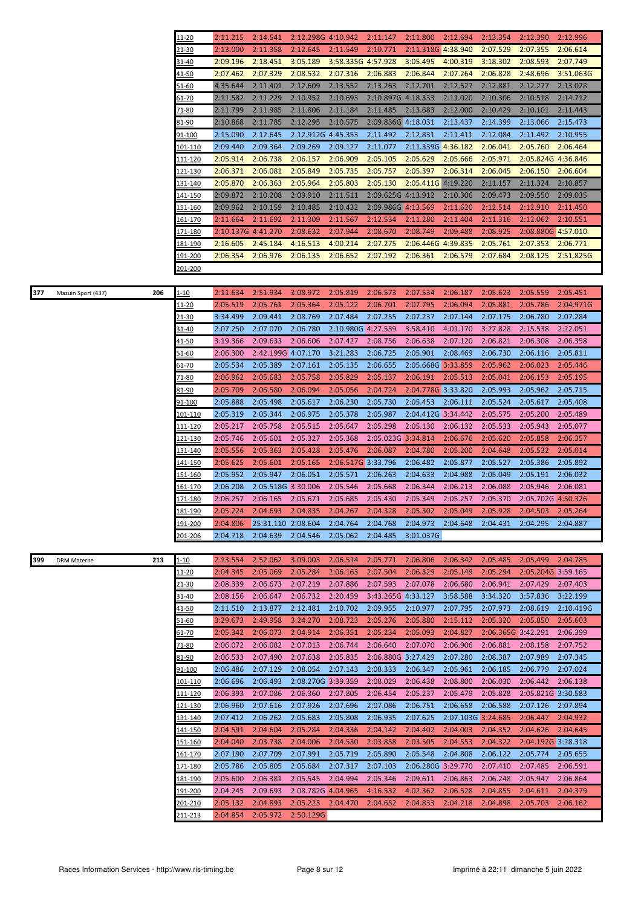|     |                    |     | 11-20           | 2:11.215           | 2:14.541                                                                                  | 2:12.298G 4:10.942 |                    | 2:11.147           | 2:11.800           | 2:12.694           | 2:13.354           | 2:12.390           | 2:12.996  |
|-----|--------------------|-----|-----------------|--------------------|-------------------------------------------------------------------------------------------|--------------------|--------------------|--------------------|--------------------|--------------------|--------------------|--------------------|-----------|
|     |                    |     | 21-30           | 2:13.000           | 2:11.358                                                                                  | 2:12.645           | 2:11.549           | 2:10.771           | 2:11.318G 4:38.940 |                    | 2:07.529           | 2:07.355           | 2:06.614  |
|     |                    |     | 31-40           | 2:09.196           | 2:18.451                                                                                  | 3:05.189           | 3:58.335G 4:57.928 |                    | 3:05.495           | 4:00.319           | 3:18.302           | 2:08.593           | 2:07.749  |
|     |                    |     | 41-50           | 2:07.462           | 2:07.329                                                                                  | 2:08.532           | 2:07.316           | 2:06.883           | 2:06.844           | 2:07.264           | 2:06.828           | 2:48.696           | 3:51.063G |
|     |                    |     |                 |                    |                                                                                           |                    |                    |                    |                    |                    |                    |                    |           |
|     |                    |     | 51-60           | 4:35.644           | 2:11.401                                                                                  | 2:12.609           | 2:13.552           | 2:13.263           | 2:12.701           | 2:12.527           | 2:12.881           | 2:12.277           | 2:13.028  |
|     |                    |     | 51-70           | 2:11.582           | 2:11.229                                                                                  | 2:10.952           | 2:10.693           | 2:10.897G 4:18.333 |                    | 2:11.020           | 2:10.306           | 2:10.518           | 2:14.712  |
|     |                    |     | $71 - 80$       | 2:11.799           | 2:11.985                                                                                  | 2:11.806           | 2:11.184           | 2:11.485           | 2:13.683           | 2:12.000           | 2:10.429           | 2:10.101           | 2:11.443  |
|     |                    |     | 31-90           | 2:10.868           | 2:11.785                                                                                  | 2:12.295           | 2:10.575           | 2:09.836G 4:18.031 |                    | 2:13.437           | 2:14.399           | 2:13.066           | 2:15.473  |
|     |                    |     |                 |                    |                                                                                           |                    |                    |                    |                    |                    |                    |                    |           |
|     |                    |     | 91-100          | 2:15.090           | 2:12.645                                                                                  | 2:12.912G 4:45.353 |                    | 2:11.492           | 2:12.831           | 2:11.411           | 2:12.084           | 2:11.492           | 2:10.955  |
|     |                    |     | 101-110         | 2:09.440           | 2:09.364                                                                                  | 2:09.269           | 2:09.127           | 2:11.077           | 2:11.339G 4:36.182 |                    | 2:06.041           | 2:05.760           | 2:06.464  |
|     |                    |     | 111-120         | 2:05.914           | 2:06.738                                                                                  | 2:06.157           | 2:06.909           | 2:05.105           | 2:05.629           | 2:05.666           | 2:05.971           | 2:05.824G 4:36.846 |           |
|     |                    |     | <u>121-130</u>  | 2:06.371           | 2:06.081                                                                                  | 2:05.849           | 2:05.735           | 2:05.757           | 2:05.397           | 2:06.314           | 2:06.045           | 2:06.150           | 2:06.604  |
|     |                    |     |                 |                    |                                                                                           |                    |                    |                    |                    |                    |                    |                    |           |
|     |                    |     | 131-140         | 2:05.870           | 2:06.363                                                                                  | 2:05.964           | 2:05.803           | 2:05.130           | 2:05.411G 4:19.220 |                    | 2:11.157           | 2:11.324           | 2:10.857  |
|     |                    |     | <u>141-150</u>  | 2:09.872           | 2:10.208                                                                                  | 2:09.910           | 2:11.511           | 2:09.625G 4:13.912 |                    | 2:10.306           | 2:09.473           | 2:09.550           | 2:09.035  |
|     |                    |     | 151-160         | 2:09.962           | 2:10.159                                                                                  | 2:10.485           | 2:10.432           | 2:09.986G 4:13.569 |                    | 2:11.620           | 2:12.514           | 2:12.910           | 2:11.450  |
|     |                    |     | <u>161-170</u>  | 2:11.664           | 2:11.692                                                                                  | 2:11.309           | 2:11.567           | 2:12.534           | 2:11.280           | 2:11.404           | 2:11.316           | 2:12.062           | 2:10.551  |
|     |                    |     |                 |                    |                                                                                           |                    |                    |                    |                    |                    |                    |                    |           |
|     |                    |     | <u>171-180</u>  | 2:10.137G 4:41.270 |                                                                                           | 2:08.632           | 2:07.944           | 2:08.670           | 2:08.749           | 2:09.488           | 2:08.925           | 2:08.880G 4:57.010 |           |
|     |                    |     | 181-190         | 2:16.605           | 2:45.184                                                                                  | 4:16.513           | 4:00.214           | 2:07.275           | 2:06.446G 4:39.835 |                    | 2:05.761           | 2:07.353           | 2:06.771  |
|     |                    |     | <u>191-200</u>  | 2:06.354           | 2:06.976                                                                                  | 2:06.135           | 2:06.652           | 2:07.192           | 2:06.361           | 2:06.579           | 2:07.684           | 2:08.125           | 2:51.825G |
|     |                    |     | 201-200         |                    |                                                                                           |                    |                    |                    |                    |                    |                    |                    |           |
|     |                    |     |                 |                    |                                                                                           |                    |                    |                    |                    |                    |                    |                    |           |
|     |                    |     |                 |                    |                                                                                           |                    |                    |                    |                    |                    |                    |                    |           |
| 377 | Mazuin Sport (437) | 206 | $1 - 10$        | 2:11.634           | 2:51.934                                                                                  | 3:08.972           | 2:05.819           | 2:06.573           | 2:07.534           | 2:06.187           | 2:05.623           | 2:05.559           | 2:05.451  |
|     |                    |     | 11-20           | 2:05.519           | 2:05.761                                                                                  | 2:05.364           | 2:05.122           | 2:06.701           | 2:07.795           | 2:06.094           | 2:05.881           | 2:05.786           | 2:04.971G |
|     |                    |     | 21-30           | 3:34.499           | 2:09.441                                                                                  | 2:08.769           | 2:07.484           | 2:07.255           | 2:07.237           | 2:07.144           | 2:07.175           | 2:06.780           | 2:07.284  |
|     |                    |     | 31-40           | 2:07.250           | 2:07.070                                                                                  | 2:06.780           | 2:10.980G 4:27.539 |                    | 3:58.410           | 4:01.170           | 3:27.828           | 2:15.538           | 2:22.051  |
|     |                    |     | 41-50           | 3:19.366           | 2:09.633                                                                                  | 2:06.606           | 2:07.427           | 2:08.756           | 2:06.638           | 2:07.120           | 2:06.821           | 2:06.308           | 2:06.358  |
|     |                    |     |                 |                    |                                                                                           |                    |                    |                    |                    |                    |                    |                    |           |
|     |                    |     | 51-60           | 2:06.300           | 2:42.199G 4:07.170                                                                        |                    | 3:21.283           | 2:06.725           | 2:05.901           | 2:08.469           | 2:06.730           | 2:06.116           | 2:05.811  |
|     |                    |     | 51-70           | 2:05.534           | 2:05.389                                                                                  | 2:07.161           | 2:05.135           | 2:06.655           | 2:05.668G 3:33.859 |                    | 2:05.962           | 2:06.023           | 2:05.446  |
|     |                    |     | 71-80           | 2:06.962           | 2:05.683                                                                                  | 2:05.758           | 2:05.829           | 2:05.137           | 2:06.191           | 2:05.513           | 2:05.041           | 2:06.153           | 2:05.195  |
|     |                    |     | 31-90           | 2:05.709           | 2:06.580                                                                                  | 2:06.094           | 2:05.056           | 2:04.724           | 2:04.778G 3:33.820 |                    | 2:05.993           | 2:05.962           | 2:05.715  |
|     |                    |     | 91-100          | 2:05.888           | 2:05.498                                                                                  | 2:05.617           | 2:06.230           | 2:05.730           | 2:05.453           | 2:06.111           | 2:05.524           | 2:05.617           | 2:05.408  |
|     |                    |     |                 |                    |                                                                                           |                    |                    |                    |                    |                    |                    |                    |           |
|     |                    |     | 101-110         | 2:05.319           | 2:05.344                                                                                  | 2:06.975           | 2:05.378           | 2:05.987           | 2:04.412G 3:34.442 |                    | 2:05.575           | 2:05.200           | 2:05.489  |
|     |                    |     | 111-120         | 2:05.217           | 2:05.758                                                                                  | 2:05.515           | 2:05.647           | 2:05.298           | 2:05.130           | 2:06.132           | 2:05.533           | 2:05.943           | 2:05.077  |
|     |                    |     | 121-130         | 2:05.746           | 2:05.601                                                                                  | 2:05.327           | 2:05.368           | 2:05.023G 3:34.814 |                    | 2:06.676           | 2:05.620           | 2:05.858           | 2:06.357  |
|     |                    |     | 131-140         | 2:05.556           | 2:05.363                                                                                  | 2:05.428           | 2:05.476           | 2:06.087           | 2:04.780           | 2:05.200           | 2:04.648           | 2:05.532           | 2:05.014  |
|     |                    |     | 141-150         | 2:05.625           | 2:05.601                                                                                  | 2:05.165           | 2:06.517G 3:33.796 |                    | 2:06.482           | 2:05.877           | 2:05.527           | 2:05.386           | 2:05.892  |
|     |                    |     | <u>151-160</u>  | 2:05.952           | 2:05.947                                                                                  | 2:06.051           | 2:05.571           | 2:06.263           | 2:04.633           | 2:04.988           | 2:05.049           | 2:05.191           | 2:06.032  |
|     |                    |     |                 | 2:06.208           | 2:05.518G 3:30.006                                                                        |                    |                    |                    |                    |                    |                    |                    |           |
|     |                    |     | 61-170          |                    |                                                                                           |                    | 2:05.546           | 2:05.668           | 2:06.344           | 2:06.213           | 2:06.088           | 2:05.946           | 2:06.081  |
|     |                    |     | 171-180         | 2:06.257           | 2:06.165                                                                                  | 2:05.671           | 2:05.685           | 2:05.430           | 2:05.349           | 2:05.257           | 2:05.370           | 2:05.702G 4:50.326 |           |
|     |                    |     | 81-190          |                    | 2:05.224 2:04.693 2:04.835 2:04.267 2:04.328 2:05.302 2:05.049 2:05.928 2:04.503 2:05.264 |                    |                    |                    |                    |                    |                    |                    |           |
|     |                    |     | <u> 191-200</u> | 2:04.806           | 25:31.110 2:08.604                                                                        |                    | 2:04.764           | 2:04.768           | 2:04.973 2:04.648  |                    | 2:04.431           | 2:04.295           | 2:04.887  |
|     |                    |     | <u>201-206</u>  | 2:04.718           | 2:04.639                                                                                  | 2:04.546           | 2:05.062           | 2:04.485           | 3:01.037G          |                    |                    |                    |           |
|     |                    |     |                 |                    |                                                                                           |                    |                    |                    |                    |                    |                    |                    |           |
|     |                    |     |                 |                    |                                                                                           |                    |                    |                    |                    |                    |                    |                    |           |
| 399 | <b>DRM Materne</b> | 213 | 1-10            | 2:13.554           | 2:52.062                                                                                  | 3:09.003           | 2:06.514           | 2:05.771           | 2:06.806           | 2:06.342           | 2:05.485           | 2:05.499           | 2:04.785  |
|     |                    |     | 11-20           | 2:04.345           | 2:05.069                                                                                  | 2:05.284           | 2:06.163           | 2:07.504           | 2:06.329           | 2:05.149           | 2:05.294           | 2:05.204G 3:59.165 |           |
|     |                    |     | 21-30           | 2:08.339           | 2:06.673                                                                                  | 2:07.219           | 2:07.886           | 2:07.593           | 2:07.078           | 2:06.680           | 2:06.941           | 2:07.429           | 2:07.403  |
|     |                    |     | 31-40           | 2:08.156           | 2:06.647                                                                                  | 2:06.732           | 2:20.459           | 3:43.265G 4:33.127 |                    | 3:58.588           | 3:34.320           | 3:57.836           | 3:22.199  |
|     |                    |     | <u>41-50</u>    | 2:11.510           | 2:13.877                                                                                  | 2:12.481           | 2:10.702           | 2:09.955           | 2:10.977           | 2:07.795           | 2:07.973           | 2:08.619           | 2:10.419G |
|     |                    |     |                 | 3:29.673           | 2:49.958                                                                                  | 3:24.270           | 2:08.723           | 2:05.276           | 2:05.880           | 2:15.112           | 2:05.320           | 2:05.850           | 2:05.603  |
|     |                    |     | 51-60           |                    |                                                                                           |                    |                    |                    |                    |                    |                    |                    |           |
|     |                    |     | $61 - 70$       | 2:05.342           | 2:06.073                                                                                  | 2:04.914           | 2:06.351           | 2:05.234           | 2:05.093           | 2:04.827           | 2:06.365G 3:42.291 |                    | 2:06.399  |
|     |                    |     | 71-80           | 2:06.072           | 2:06.082                                                                                  | 2:07.013           | 2:06.744           | 2:06.640           | 2:07.070           | 2:06.906           | 2:06.881           | 2:08.158           | 2:07.752  |
|     |                    |     | 81-90           | 2:06.533           | 2:07.490                                                                                  | 2:07.638           | 2:05.835           | 2:06.880G 3:27.429 |                    | 2:07.280           | 2:08.387           | 2:07.989           | 2:07.345  |
|     |                    |     | <u>91-100</u>   | 2:06.486           | 2:07.129                                                                                  | 2:08.054           | 2:07.143           | 2:08.333           | 2:06.347           | 2:05.961           | 2:06.185           | 2:06.779           | 2:07.024  |
|     |                    |     | 101-110         | 2:06.696           | 2:06.493                                                                                  | 2:08.270G 3:39.359 |                    | 2:08.029           | 2:06.438           | 2:08.800           | 2:06.030           | 2:06.442           | 2:06.138  |
|     |                    |     |                 | 2:06.393           |                                                                                           |                    |                    |                    | 2:05.237           | 2:05.479           | 2:05.828           | 2:05.821G 3:30.583 |           |
|     |                    |     | 111-120         |                    | 2:07.086                                                                                  | 2:06.360           | 2:07.805           | 2:06.454           |                    |                    |                    |                    |           |
|     |                    |     | 121-130         | 2:06.960           | 2:07.616                                                                                  | 2:07.926           | 2:07.696           | 2:07.086           | 2:06.751           | 2:06.658           | 2:06.588           | 2:07.126           | 2:07.894  |
|     |                    |     | 131-140         | 2:07.412           | 2:06.262                                                                                  | 2:05.683           | 2:05.808           | 2:06.935           | 2:07.625           | 2:07.103G 3:24.685 |                    | 2:06.447           | 2:04.932  |
|     |                    |     | 141-150         | 2:04.591           | 2:04.604                                                                                  | 2:05.284           | 2:04.336           | 2:04.142           | 2:04.402           | 2:04.003           | 2:04.352           | 2:04.626           | 2:04.645  |
|     |                    |     | 151-160         | 2:04.040           | 2:03.738                                                                                  | 2:04.006           | 2:04.530           | 2:03.858           | 2:03.505           | 2:04.553           | 2:04.322           | 2:04.192G 3:28.318 |           |
|     |                    |     | 161-170         | 2:07.190           | 2:07.709                                                                                  | 2:07.991           | 2:05.719           | 2:05.890           | 2:05.548           | 2:04.808           | 2:06.122           | 2:05.774           | 2:05.655  |
|     |                    |     |                 |                    |                                                                                           |                    |                    |                    |                    |                    |                    |                    |           |
|     |                    |     | <u>171-180</u>  | 2:05.786           | 2:05.805                                                                                  | 2:05.684           | 2:07.317           | 2:07.103           | 2:06.280G 3:29.770 |                    | 2:07.410           | 2:07.485           | 2:06.591  |
|     |                    |     | <u>181-190</u>  | 2:05.600           | 2:06.381                                                                                  | 2:05.545           | 2:04.994           | 2:05.346           | 2:09.611           | 2:06.863           | 2:06.248           | 2:05.947           | 2:06.864  |
|     |                    |     | <u>191-200</u>  | 2:04.245           | 2:09.693                                                                                  | 2:08.782G 4:04.965 |                    | 4:16.532           | 4:02.362           | 2:06.528           | 2:04.855           | 2:04.611           | 2:04.379  |
|     |                    |     | 201-210         | 2:05.132           | 2:04.893                                                                                  | 2:05.223           | 2:04.470           | 2:04.632           | 2:04.833           | 2:04.218           | 2:04.898           | 2:05.703           | 2:06.162  |
|     |                    |     | <u>211-213</u>  | 2:04.854           | 2:05.972                                                                                  | 2:50.129G          |                    |                    |                    |                    |                    |                    |           |
|     |                    |     |                 |                    |                                                                                           |                    |                    |                    |                    |                    |                    |                    |           |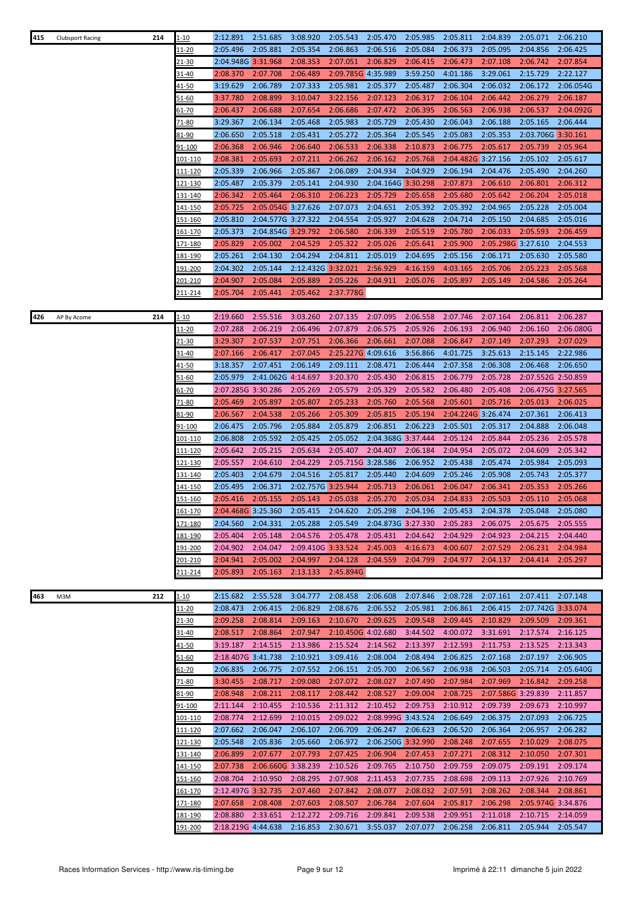| 415 | <b>Clubsport Racing</b> | 214 | $1 - 10$        | 2:12.891           | 2:51.685           | 3:08.920           | 2:05.543           | 2:05.470           | 2:05.985           | 2:05.811           | 2:04.839           | 2:05.071           | 2:06.210  |
|-----|-------------------------|-----|-----------------|--------------------|--------------------|--------------------|--------------------|--------------------|--------------------|--------------------|--------------------|--------------------|-----------|
|     |                         |     | 11-20           | 2:05.496           | 2:05.881           | 2:05.354           | 2:06.863           | 2:06.516           | 2:05.084           | 2:06.373           | 2:05.095           | 2:04.856           | 2:06.425  |
|     |                         |     | 21-30           | 2:04.948G 3:31.968 |                    | 2:08.353           | 2:07.051           | 2:06.829           | 2:06.415           | 2:06.473           | 2:07.108           | 2:06.742           | 2:07.854  |
|     |                         |     | 31-40           | 2:08.370           | 2:07.708           | 2:06.489           | 2:09.785G 4:35.989 |                    | 3:59.250           | 4:01.186           | 3:29.061           | 2:15.729           | 2:22.127  |
|     |                         |     | $41 - 50$       | 3:19.629           | 2:06.789           | 2:07.333           | 2:05.981           | 2:05.377           | 2:05.487           | 2:06.304           | 2:06.032           | 2:06.172           | 2:06.054G |
|     |                         |     | <u>51-60</u>    | 3:37.780           | 2:08.899           | 3:10.047           | 3:22.156           | 2:07.123           | 2:06.317           | 2:06.104           | 2:06.442           | 2:06.279           | 2:06.187  |
|     |                         |     | <u>61-70</u>    | 2:06.437           | 2:06.688           | 2:07.654           | 2:06.686           | 2:07.472           | 2:06.395           | 2:06.563           | 2:06.938           | 2:06.537           | 2:04.092G |
|     |                         |     | 71-80           | 3:29.367           | 2:06.134           | 2:05.468           | 2:05.983           | 2:05.729           | 2:05.430           | 2:06.043           | 2:06.188           | 2:05.165           | 2:06.444  |
|     |                         |     | 81-90           | 2:06.650           | 2:05.518           | 2:05.431           | 2:05.272           | 2:05.364           | 2:05.545           | 2:05.083           | 2:05.353           | 2:03.706G 3:30.161 |           |
|     |                         |     | 91-100          | 2:06.368           | 2:06.946           | 2:06.640           | 2:06.533           | 2:06.338           | 2:10.873           | 2:06.775           | 2:05.617           | 2:05.739           | 2:05.964  |
|     |                         |     |                 | 2:08.381           |                    | 2:07.211           |                    |                    | 2:05.768           |                    |                    |                    |           |
|     |                         |     | 101-110         |                    | 2:05.693           |                    | 2:06.262           | 2:06.162           |                    | 2:04.482G 3:27.156 |                    | 2:05.102           | 2:05.617  |
|     |                         |     | 111-120         | 2:05.339           | 2:06.966           | 2:05.867           | 2:06.089           | 2:04.934           | 2:04.929           | 2:06.194           | 2:04.476           | 2:05.490           | 2:04.260  |
|     |                         |     | 121-130         | 2:05.487           | 2:05.379           | 2:05.141           | 2:04.930           | 2:04.164G 3:30.298 |                    | 2:07.873           | 2:06.610           | 2:06.801           | 2:06.312  |
|     |                         |     | 131-140         | 2:06.342           | 2:05.464           | 2:06.310           | 2:06.223           | 2:05.729           | 2:05.658           | 2:05.680           | 2:05.642           | 2:06.204           | 2:05.018  |
|     |                         |     | 141-150         | 2:05.725           | 2:05.054G 3:27.626 |                    | 2:07.073           | 2:04.651           | 2:05.392           | 2:05.392           | 2:04.965           | 2:05.228           | 2:05.004  |
|     |                         |     | <u>151-160</u>  | 2:05.810           | 2:04.577G 3:27.322 |                    | 2:04.554           | 2:05.927           | 2:04.628           | 2:04.714           | 2:05.150           | 2:04.685           | 2:05.016  |
|     |                         |     | 161-170         | 2:05.373           | 2:04.854G 3:29.792 |                    | 2:06.580           | 2:06.339           | 2:05.519           | 2:05.780           | 2:06.033           | 2:05.593           | 2:06.459  |
|     |                         |     | <u>171-180</u>  | 2:05.829           | 2:05.002           | 2:04.529           | 2:05.322           | 2:05.026           | 2:05.641           | 2:05.900           | 2:05.298G 3:27.610 |                    | 2:04.553  |
|     |                         |     | 181-190         | 2:05.261           | 2:04.130           | 2:04.294           | 2:04.811           | 2:05.019           | 2:04.695           | 2:05.156           | 2:06.171           | 2:05.630           | 2:05.580  |
|     |                         |     | <u> 191-200</u> | 2:04.302           | 2:05.144           | 2:12.432G 3:32.021 |                    | 2:56.929           | 4:16.159           | 4:03.165           | 2:05.706           | 2:05.223           | 2:05.568  |
|     |                         |     | 201-210         | 2:04.907           | 2:05.084           | 2:05.889           | 2:05.226           | 2:04.911           | 2:05.076           | 2:05.897           | 2:05.149           | 2:04.586           | 2:05.264  |
|     |                         |     | 211-214         | 2:05.704           | 2:05.441           | 2:05.462           | 2:37.778G          |                    |                    |                    |                    |                    |           |
|     |                         |     |                 |                    |                    |                    |                    |                    |                    |                    |                    |                    |           |
| 426 | AP By Acome             | 214 | <u>1-10</u>     | 2:19.660           | 2:55.516           | 3:03.260           | 2:07.135           | 2:07.095           | 2:06.558           | 2:07.746           | 2:07.164           | 2:06.811           | 2:06.287  |
|     |                         |     | 11-20           | 2:07.288           | 2:06.219           | 2:06.496           | 2:07.879           | 2:06.575           | 2:05.926           | 2:06.193           | 2:06.940           | 2:06.160           | 2:06.080G |
|     |                         |     | 21-30           | 3:29.307           | 2:07.537           | 2:07.751           | 2:06.366           | 2:06.661           | 2:07.088           | 2:06.847           | 2:07.149           | 2:07.293           | 2:07.029  |
|     |                         |     | 31-40           | 2:07.166           | 2:06.417           | 2:07.045           | 2:25.227G 4:09.616 |                    | 3:56.866           | 4:01.725           | 3:25.613           | 2:15.145           | 2:22.986  |
|     |                         |     |                 | 3:18.357           | 2:07.451           | 2:06.149           | 2:09.111           | 2:08.471           | 2:06.444           | 2:07.358           | 2:06.308           | 2:06.468           | 2:06.650  |
|     |                         |     | <u>41-50</u>    |                    |                    |                    |                    |                    |                    |                    |                    |                    |           |
|     |                         |     | 51-60           | 2:05.979           | 2:41.062G 4:14.697 |                    | 3:20.370           | 2:05.430           | 2:06.815           | 2:06.779           | 2:05.728           | 2:07.552G 2:50.859 |           |
|     |                         |     | $61 - 70$       | 2:07.285G 3:30.286 |                    | 2:05.269           | 2:05.579           | 2:05.329           | 2:05.582           | 2:06.480           | 2:05.408           | 2:06.475G 3:27.565 |           |
|     |                         |     | 71-80           | 2:05.469           | 2:05.897           | 2:05.807           | 2:05.233           | 2:05.760           | 2:05.568           | 2:05.601           | 2:05.716           | 2:05.013           | 2:06.025  |
|     |                         |     | 81-90           | 2:06.567           | 2:04.538           | 2:05.266           | 2:05.309           | 2:05.815           | 2:05.194           | 2:04.224G 3:26.474 |                    | 2:07.361           | 2:06.413  |
|     |                         |     | 91-100          | 2:06.475           | 2:05.796           | 2:05.884           | 2:05.879           | 2:06.851           | 2:06.223           | 2:05.501           | 2:05.317           | 2:04.888           | 2:06.048  |
|     |                         |     | 101-110         | 2:06.808           | 2:05.592           | 2:05.425           | 2:05.052           | 2:04.368G 3:37.444 |                    | 2:05.124           | 2:05.844           | 2:05.236           | 2:05.578  |
|     |                         |     | 111-120         | 2:05.642           | 2:05.215           | 2:05.634           | 2:05.407           | 2:04.407           | 2:06.184           | 2:04.954           | 2:05.072           | 2:04.609           | 2:05.342  |
|     |                         |     | 121-130         | 2:05.557           | 2:04.610           | 2:04.229           | 2:05.715G 3:28.586 |                    | 2:06.952           | 2:05.438           | 2:05.474           | 2:05.984           | 2:05.093  |
|     |                         |     | 131-140         | 2:05.403           | 2:04.679           | 2:04.516           | 2:05.817           | 2:05.440           | 2:04.609           | 2:05.246           | 2:05.908           | 2:05.743           | 2:05.377  |
|     |                         |     | 141-150         | 2:05.495           | 2:06.371           | 2:02.757G 3:25.944 |                    | 2:05.713           | 2:06.061           | 2:06.047           | 2:06.341           | 2:05.353           | 2:05.266  |
|     |                         |     | 151-160         | 2:05.416           | 2:05.155           | 2:05.143           | 2:05.038           | 2:05.270           | 2:05.034           | 2:04.833           | 2:05.503           | 2:05.110           | 2:05.068  |
|     |                         |     | 161-170         | 2:04.468G 3:25.360 |                    | 2:05.415           | 2:04.620           | 2:05.298           | 2:04.196           | 2:05.453           | 2:04.378           | 2:05.048           | 2:05.080  |
|     |                         |     | <u>171-180</u>  | 2:04.560           | 2:04.331           | 2:05.288           | 2:05.549           |                    | 2:04.873G 3:27.330 | 2:05.283           | 2:06.075           | 2:05.675           | 2:05.555  |
|     |                         |     | 181-190         | 2:05.404           | 2:05.148           | 2:04.576           | 2:05.478           | 2:05.431           | 2:04.642           | 2:04.929           | 2:04.923           | 2:04.215           | 2:04.440  |
|     |                         |     | 191-200         | 2:04.902           | 2:04.047           | 2:09.410G 3:33.524 |                    | 2:45.003           | 4:16.673           | 4:00.607           | 2:07.529           | 2:06.231           | 2:04.984  |
|     |                         |     | 201-210         | 2:04.941           | 2:05.002           | 2:04.997           | 2:04.128           | 2:04.559           | 2:04.799           | 2:04.977           | 2:04.137           | 2:04.414           | 2:05.297  |
|     |                         |     | 211-214         | 2:05.893           | 2:05.163           | 2:13.133           | 2:45.894G          |                    |                    |                    |                    |                    |           |
|     |                         |     |                 |                    |                    |                    |                    |                    |                    |                    |                    |                    |           |
| 463 | M3M                     | 212 | 1-10            | 2:15.682           | 2:55.528           | 3:04.777           | 2:08.458           | 2:06.608           | 2:07.846           | 2:08.728           | 2:07.161           | 2:07.411           | 2:07.148  |
|     |                         |     | <u> 11-20</u>   | 2:08.473           | 2:06.415           | 2:06.829           | 2:08.676           | 2:06.552           | 2:05.981           | 2:06.861           | 2:06.415           | 2:07.742G 3:33.074 |           |
|     |                         |     | 21-30           | 2:09.258           | 2:08.814           | 2:09.163           | 2:10.670           | 2:09.625           | 2:09.548           | 2:09.445           | 2:10.829           | 2:09.509           | 2:09.361  |
|     |                         |     | 31-40           | 2:08.517           | 2:08.864           | 2:07.947           | 2:10.450G 4:02.680 |                    | 3:44.502           | 4:00.072           | 3:31.691           | 2:17.574           | 2:16.125  |
|     |                         |     | <u>41-50</u>    | 3:19.187           | 2:14.515           | 2:13.986           | 2:15.524           | 2:14.562           | 2:13.397           | 2:12.593           | 2:11.753           | 2:13.525           | 2:13.343  |
|     |                         |     | $51 - 60$       | 2:18.407G 3:41.738 |                    | 2:10.921           | 3:09.416           | 2:08.004           | 2:08.494           | 2:06.825           | 2:07.168           | 2:07.197           | 2:06.905  |
|     |                         |     |                 | 2:06.835           | 2:06.775           | 2:07.552           | 2:06.151           | 2:05.700           | 2:06.567           | 2:06.938           | 2:06.503           | 2:05.714           | 2:05.640G |
|     |                         |     | $61 - 70$       |                    |                    |                    |                    |                    |                    |                    |                    |                    |           |
|     |                         |     | 71-80           | 3:30.455           | 2:08.717           | 2:09.080           | 2:07.072           | 2:08.027           | 2:07.490           | 2:07.984           | 2:07.969           | 2:16.842           | 2:09.258  |
|     |                         |     | 81-90           | 2:08.948           | 2:08.211           | 2:08.117           | 2:08.442           | 2:08.527           | 2:09.004           | 2:08.725           | 2:07.586G 3:29.839 |                    | 2:11.857  |
|     |                         |     | 91-100          | 2:11.144           | 2:10.455           | 2:10.536           | 2:11.312           | 2:10.452           | 2:09.753           | 2:10.912           | 2:09.739           | 2:09.673           | 2:10.997  |
|     |                         |     | <u> 101-110</u> | 2:08.774           | 2:12.699           | 2:10.015           | 2:09.022           | 2:08.999G 3:43.524 |                    | 2:06.649           | 2:06.375           | 2:07.093           | 2:06.725  |
|     |                         |     | 111-120         | 2:07.662           | 2:06.047           | 2:06.107           | 2:06.709           | 2:06.247           | 2:06.623           | 2:06.520           | 2:06.364           | 2:06.957           | 2:06.282  |
|     |                         |     | 121-130         | 2:05.548           | 2:05.836           | 2:05.660           | 2:06.972           | 2:06.250G 3:32.990 |                    | 2:08.248           | 2:07.655           | 2:10.029           | 2:08.075  |
|     |                         |     | 131-140         | 2:06.899           | 2:07.677           | 2:07.793           | 2:07.425           | 2:06.904           | 2:07.453           | 2:07.271           | 2:08.312           | 2:10.050           | 2:07.301  |
|     |                         |     | 141-150         | 2:07.738           | 2:06.660G 3:38.239 |                    | 2:10.526           | 2:09.765           | 2:10.750           | 2:09.759           | 2:09.075           | 2:09.191           | 2:09.174  |
|     |                         |     | <u>151-160</u>  | 2:08.704           | 2:10.950           | 2:08.295           | 2:07.908           | 2:11.453           | 2:07.735           | 2:08.698           | 2:09.113           | 2:07.926           | 2:10.769  |
|     |                         |     | 161-170         | 2:12.497G 3:32.735 |                    | 2:07.460           | 2:07.842           | 2:08.077           | 2:08.032           | 2:07.591           | 2:08.262           | 2:08.344           | 2:08.861  |
|     |                         |     | <u>171-180</u>  | 2:07.658           | 2:08.408           | 2:07.603           | 2:08.507           | 2:06.784           | 2:07.604           | 2:05.817           | 2:06.298           | 2:05.974G 3:34.876 |           |
|     |                         |     | 181-190         | 2:08.880           | 2:33.651           | 2:12.272           | 2:09.716           | 2:09.841           | 2:09.538           | 2:09.951           | 2:11.018           | 2:10.715           | 2:14.059  |
|     |                         |     | 191-200         | 2:18.219G 4:44.638 |                    | 2:16.853           | 2:30.671           | 3:55.037           | 2:07.077           | 2:06.258           | 2:06.811           | 2:05.944           | 2:05.547  |
|     |                         |     |                 |                    |                    |                    |                    |                    |                    |                    |                    |                    |           |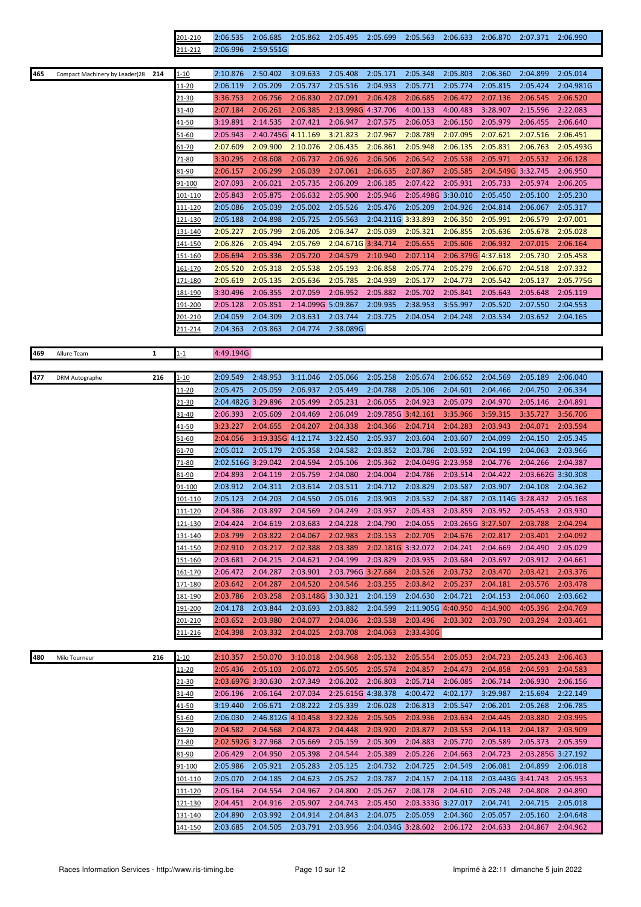| 201-210 | 2:06.535 2:06.685 2:05.862 2:05.495 2:05.699 2:05.563 2:06.633 2:06.870 2:07.371 2:06.990 |  |  |  |  |
|---------|-------------------------------------------------------------------------------------------|--|--|--|--|
| 211-212 | 2:06.996 2:59.551G                                                                        |  |  |  |  |

| 465 | Compact Machinery by Leader(28<br>214 | $1 - 10$ | 2:10.876 | 2:50.402           | 3:09.633           | 2:05.408           | 2:05.171           | 2:05.348           | 2:05.803           | 2:06.360           | 2:04.899 | 2:05.014  |
|-----|---------------------------------------|----------|----------|--------------------|--------------------|--------------------|--------------------|--------------------|--------------------|--------------------|----------|-----------|
|     |                                       | 11-20    | 2:06.119 | 2:05.209           | 2:05.737           | 2:05.516           | 2:04.933           | 2:05.771           | 2:05.774           | 2:05.815           | 2:05.424 | 2:04.981G |
|     |                                       | 21-30    | 3:36.753 | 2:06.756           | 2:06.830           | 2:07.091           | 2:06.428           | 2:06.685           | 2:06.472           | 2:07.136           | 2:06.545 | 2:06.520  |
|     |                                       | 31-40    | 2:07.184 | 2:06.261           | 2:06.385           | 2:13.998G 4:37.706 |                    | 4:00.133           | 4:00.483           | 3:28.907           | 2:15.596 | 2:22.083  |
|     |                                       | 41-50    | 3:19.891 | 2:14.535           | 2:07.421           | 2:06.947           | 2:07.575           | 2:06.053           | 2:06.150           | 2:05.979           | 2:06.455 | 2:06.640  |
|     |                                       | 51-60    | 2:05.943 | 2:40.745G 4:11.169 |                    | 3:21.823           | 2:07.967           | 2:08.789           | 2:07.095           | 2:07.621           | 2:07.516 | 2:06.451  |
|     |                                       | 61-70    | 2:07.609 | 2:09.900           | 2:10.076           | 2:06.435           | 2:06.861           | 2:05.948           | 2:06.135           | 2:05.831           | 2:06.763 | 2:05.493G |
|     |                                       | 71-80    | 3:30.295 | 2:08.608           | 2:06.737           | 2:06.926           | 2:06.506           | 2:06.542           | 2:05.538           | 2:05.971           | 2:05.532 | 2:06.128  |
|     |                                       | 81-90    | 2:06.157 | 2:06.299           | 2:06.039           | 2:07.061           | 2:06.635 2:07.867  |                    | 2:05.585           | 2:04.549G 3:32.745 |          | 2:06.950  |
|     |                                       | 91-100   | 2:07.093 | 2:06.021           | 2:05.735           | 2:06.209           | 2:06.185           | 2:07.422           | 2:05.931           | 2:05.733           | 2:05.974 | 2:06.205  |
|     |                                       | 101-110  | 2:05.843 | 2:05.875           | 2:06.632           | 2:05.900           | 2:05.946           | 2:05.498G 3:30.010 |                    | 2:05.450           | 2:05.100 | 2:05.230  |
|     |                                       | 111-120  | 2:05.086 | 2:05.039           | 2:05.002           | 2:05.526           | 2:05.476           | 2:05.209           | 2:04.926           | 2:04.814           | 2:06.067 | 2:05.317  |
|     |                                       | 121-130  | 2:05.188 | 2:04.898           | 2:05.725           | 2:05.563           | 2:04.211G 3:33.893 |                    | 2:06.350           | 2:05.991           | 2:06.579 | 2:07.001  |
|     |                                       | 131-140  | 2:05.227 | 2:05.799           | 2:06.205           | 2:06.347           | 2:05.039           | 2:05.321           | 2:06.855           | 2:05.636           | 2:05.678 | 2:05.028  |
|     |                                       | 141-150  | 2:06.826 | 2:05.494           | 2:05.769           | 2:04.671G 3:34.714 |                    | 2:05.655           | 2:05.606           | 2:06.932           | 2:07.015 | 2:06.164  |
|     |                                       | 151-160  | 2:06.694 | 2:05.336           | 2:05.720           | 2:04.579           | 2:10.940           | 2:07.114           | 2:06.379G 4:37.618 |                    | 2:05.730 | 2:05.458  |
|     |                                       | 161-170  | 2:05.520 | 2:05.318           | 2:05.538           | 2:05.193           | 2:06.858           | 2:05.774           | 2:05.279           | 2:06.670           | 2:04.518 | 2:07.332  |
|     |                                       | 171-180  | 2:05.619 | 2:05.135           | 2:05.636           | 2:05.785           | 2:04.939           | 2:05.177           | 2:04.773           | 2:05.542 2:05.137  |          | 2:05.775G |
|     |                                       | 181-190  | 3:30.496 | 2:06.355           | 2:07.059           | 2:06.952           | 2:05.882           | 2:05.702           | 2:05.841           | 2:05.643           | 2:05.648 | 2:05.119  |
|     |                                       | 191-200  | 2:05.128 | 2:05.851           | 2:14.099G 5:09.867 |                    | 2:09.935           | 2:38.953           | 3:55.997           | 2:05.520           | 2:07.550 | 2:04.553  |
|     |                                       | 201-210  | 2:04.059 | 2:04.309           | 2:03.631           | 2:03.744           | 2:03.725           | 2:04.054           | 2:04.248           | 2:03.534           | 2:03.652 | 2:04.165  |
|     |                                       | 211-214  | 2:04.363 | 2:03.863           | 2:04.774           | 2:38.089G          |                    |                    |                    |                    |          |           |
|     |                                       |          |          |                    |                    |                    |                    |                    |                    |                    |          |           |

| 469 | Allure Team           | $\mathbf{1}$ | $1 - 1$  | 4:49.194G          |                    |                    |                    |                    |                    |                    |                   |                    |          |
|-----|-----------------------|--------------|----------|--------------------|--------------------|--------------------|--------------------|--------------------|--------------------|--------------------|-------------------|--------------------|----------|
|     |                       |              |          |                    |                    |                    |                    |                    |                    |                    |                   |                    |          |
| 477 | <b>DRM Autographe</b> | 216          | $1 - 10$ | 2:09.549           | 2:48.953           | 3:11.046           | 2:05.066           | 2:05.258           | 2:05.674           | 2:06.652           | 2:04.569          | 2:05.189           | 2:06.040 |
|     |                       |              | 11-20    | 2:05.475           | 2:05.059           | 2:06.937           | 2:05.449           | 2:04.788           | 2:05.106           | 2:04.601           | 2:04.466          | 2:04.750           | 2:06.334 |
|     |                       |              | 21-30    | 2:04.482G 3:29.896 |                    | 2:05.499           | 2:05.231           | 2:06.055           | 2:04.923           | 2:05.079           | 2:04.970          | 2:05.146           | 2:04.891 |
|     |                       |              | 31-40    | 2:06.393           | 2:05.609           | 2:04.469           | 2:06.049           | 2:09.785G 3:42.161 |                    | 3:35.966           | 3:59.315          | 3:35.727           | 3:56.706 |
|     |                       |              | 41-50    | 3:23.227           | 2:04.655           | 2:04.207           | 2:04.338           | 2:04.366           | 2:04.714           | 2:04.283           | 2:03.943          | 2:04.071           | 2:03.594 |
|     |                       |              | 51-60    | 2:04.056           | 3:19.335G 4:12.174 |                    | 3:22.450           | 2:05.937           | 2:03.604           | 2:03.607           | 2:04.099          | 2:04.150           | 2:05.345 |
|     |                       |              | 61-70    | 2:05.012           | 2:05.179           | 2:05.358           | 2:04.582           | 2:03.852           | 2:03.786           | 2:03.592           | 2:04.199          | 2:04.063           | 2:03.966 |
|     |                       |              | 71-80    | 2:02.516G 3:29.042 |                    | 2:04.594           | 2:05.106           | 2:05.362           | 2:04.049G 2:23.958 |                    | 2:04.776          | 2:04.266           | 2:04.387 |
|     |                       |              | 81-90    | 2:04.893           | 2:04.119           | 2:05.759           | 2:04.080           | 2:04.004           | 2:04.786           | 2:03.514           | 2:04.422          | 2:03.662G 3:30.308 |          |
|     |                       |              | 91-100   | 2:03.912           | 2:04.311           | 2:03.614           | 2:03.511           | 2:04.712           | 2:03.829           | 2:03.587           | 2:03.907          | 2:04.108           | 2:04.362 |
|     |                       |              | 101-110  | 2:05.123           | 2:04.203           | 2:04.550           | 2:05.016           | 2:03.903           | 2:03.532           | 2:04.387           |                   | 2:03.114G 3:28.432 | 2:05.168 |
|     |                       |              | 111-120  | 2:04.386           | 2:03.897           | 2:04.569           | 2:04.249           | 2:03.957           | 2:05.433           | 2:03.859           | 2:03.952 2:05.453 |                    | 2:03.930 |
|     |                       |              | 121-130  | 2:04.424           | 2:04.619           | 2:03.683           | 2:04.228           | 2:04.790           | 2:04.055           | 2:03.265G 3:27.507 |                   | 2:03.788           | 2:04.294 |
|     |                       |              | 131-140  | 2:03.799           | 2:03.822           | 2:04.067           | 2:02.983           | 2:03.153           | 2:02.705           | 2:04.676           | 2:02.817          | 2:03.401           | 2:04.092 |
|     |                       |              | 141-150  | 2:02.910           | 2:03.217           | 2:02.388           | 2:03.389           | 2:02.181G 3:32.072 |                    | 2:04.241           | 2:04.669          | 2:04.490           | 2:05.029 |
|     |                       |              | 151-160  | 2:03.681           | 2:04.215           | 2:04.621           | 2:04.199           | 2:03.829           | 2:03.935           | 2:03.684           | 2:03.697          | 2:03.912           | 2:04.661 |
|     |                       |              | 161-170  | 2:06.472           | 2:04.287           | 2:03.901           | 2:03.796G 3:27.684 |                    | 2:03.526           | 2:03.732           | 2:03.470          | 2:03.421           | 2:03.376 |
|     |                       |              | 171-180  | 2:03.642           | 2:04.287           | 2:04.520           | 2:04.546           | 2:03.255           | 2:03.842           | 2:05.237           | 2:04.181          | 2:03.576           | 2:03.478 |
|     |                       |              | 181-190  | 2:03.786           | 2:03.258           | 2:03.148G 3:30.321 |                    | 2:04.159           | 2:04.630           | 2:04.721           | 2:04.153          | 2:04.060           | 2:03.662 |
|     |                       |              | 191-200  | 2:04.178           | 2:03.844           | 2:03.693           | 2:03.882           | 2:04.599           | 2:11.905G 4:40.950 |                    | 4:14.900          | 4:05.396           | 2:04.769 |
|     |                       |              | 201-210  | 2:03.652           | 2:03.980           | 2:04.077           | 2:04.036           | 2:03.538           | 2:03.496 2:03.302  |                    | 2:03.790          | 2:03.294           | 2:03.461 |
|     |                       |              | 211-216  | 2:04.398           | 2:03.332           | 2:04.025           | 2:03.708           | 2:04.063           | 2:33.430G          |                    |                   |                    |          |
|     |                       |              |          |                    |                    |                    |                    |                    |                    |                    |                   |                    |          |
| 480 | Milo Tourneur         | 216          | 1-10     | 2:10.357           | 2:50.070           | 3:10.018           | 2:04.968           | 2:05.132           | 2:05.554           | 2:05.053           | 2:04.723          | 2:05.243           | 2:06.463 |
|     |                       |              | 11-20    | 2:05.436           | 2:05.103           | 2:06.072           | 2:05.505           | 2:05.574           | 2:04.857           | 2:04.473           | 2:04.858          | 2:04.593           | 2:04.583 |
|     |                       |              | 21-30    | 2:03.697G 3:30.630 |                    | 2:07.349           | 2:06.202           | 2:06.803           | 2:05.714           | 2:06.085           | 2:06.714          | 2:06.930           | 2:06.156 |
|     |                       |              |          | 200000             |                    | 2.07.024           | 2.25.0450          | 20022              | 1.00122            | $200 - 477$        | 2.20.027          | 2.45.024           | 2221     |

| <u>____</u> |                    |                    |          |                    |                    |                    |          |                    |                    |          |
|-------------|--------------------|--------------------|----------|--------------------|--------------------|--------------------|----------|--------------------|--------------------|----------|
| 21-30       | 2:03.697G 3:30.630 |                    | 2:07.349 | 2:06.202           | 2:06.803           | 2:05.714           | 2:06.085 | 2:06.714           | 2:06.930           | 2:06.156 |
| 31-40       | 2:06.196           | 2:06.164           | 2:07.034 | 2:25.615G 4:38.378 |                    | 4:00.472           | 4:02.177 | 3:29.987           | 2:15.694           | 2:22.149 |
| 41-50       | 3:19.440           | 2:06.671           | 2:08.222 | 2:05.339           | 2:06.028           | 2:06.813           | 2:05.547 | 2:06.201           | 2:05.268           | 2:06.785 |
| 51-60       | 2:06.030           | 2:46.812G 4:10.458 |          | 3:22.326           | 2:05.505           | 2:03.936           | 2:03.634 | 2:04.445           | 2:03.880           | 2:03.995 |
| 61-70       | 2:04.582           | 2:04.568           | 2:04.873 | 2:04.448           | 2:03.920           | 2:03.877           | 2:03.553 | 2:04.113           | 2:04.187           | 2:03.909 |
| 71-80       | 2:02.592G 3:27.968 |                    | 2:05.669 | 2:05.159           | 2:05.309           | 2:04.883           | 2:05.770 | 2:05.589           | 2:05.373           | 2:05.359 |
| 81-90       | 2:06.429           | 2:04.950           | 2:05.398 | 2:04.544           | 2:05.389           | 2:05.226           | 2:04.663 | 2:04.723           | 2:03.285G 3:27.192 |          |
| 91-100      | 2:05.986           | 2:05.921           | 2:05.283 | 2:05.125           | 2:04.732           | 2:04.725           | 2:04.549 | 2:06.081           | 2:04.899           | 2:06.018 |
| 101-110     | 2:05.070           | 2:04.185           | 2:04.623 | 2:05.252           | 2:03.787           | 2:04.157           | 2:04.118 | 2:03.443G 3:41.743 |                    | 2:05.953 |
| 111-120     | 2:05.164           | 2:04.554           | 2:04.967 | 2:04.800           | 2:05.267           | 2:08.178           | 2:04.610 | 2:05.248           | 2:04.808           | 2:04.890 |
| 121-130     | 2:04.451           | 2:04.916           | 2:05.907 | 2:04.743           | 2:05.450           | 2:03.333G 3:27.017 |          | 2:04.741           | 2:04.715           | 2:05.018 |
| 131-140     | 2:04.890           | 2:03.992           | 2:04.914 | 2:04.843           | 2:04.075           | 2:05.059           | 2:04.360 | 2:05.057           | 2:05.160           | 2:04.648 |
| 141-150     | 2:03.685           | 2:04.505           | 2:03.791 | 2:03.956           | 2:04.034G 3:28.602 |                    | 2:06.172 | 2:04.633           | 2:04.867           | 2:04.962 |
|             |                    |                    |          |                    |                    |                    |          |                    |                    |          |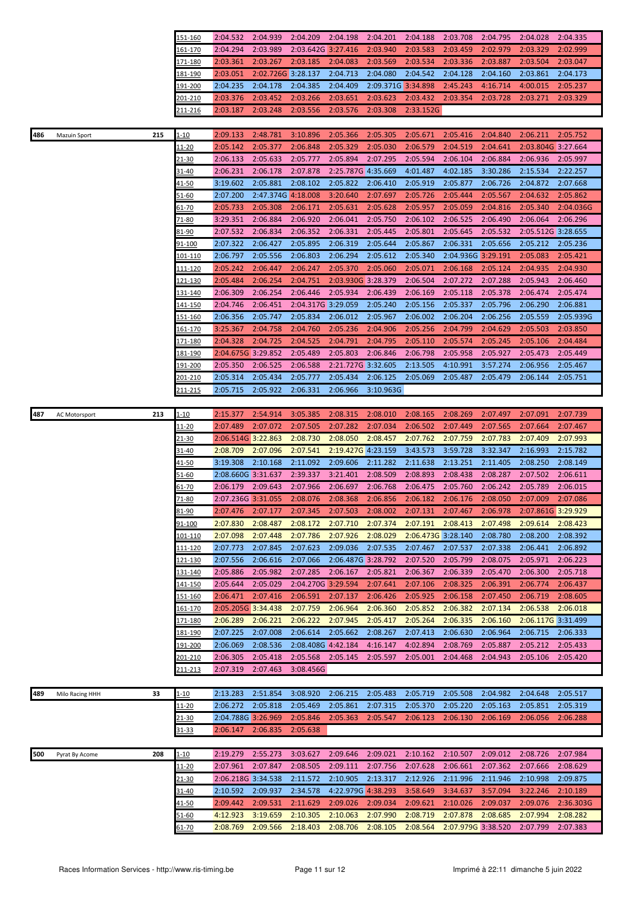|     |                 |     | 151-160         | 2:04.532           | 2:04.939                   | 2:04.209           | 2:04.198           | 2:04.201  | 2:04.188           | 2:03.708           | 2:04.795 | 2:04.028           | 2:04.335  |
|-----|-----------------|-----|-----------------|--------------------|----------------------------|--------------------|--------------------|-----------|--------------------|--------------------|----------|--------------------|-----------|
|     |                 |     | 161-170         | 2:04.294           | 2:03.989                   | 2:03.642G 3:27.416 |                    | 2:03.940  | 2:03.583           | 2:03.459           | 2:02.979 | 2:03.329           | 2:02.999  |
|     |                 |     | 171-180         | 2:03.361           | 2:03.267                   | 2:03.185           | 2:04.083           | 2:03.569  | 2:03.534           | 2:03.336           | 2:03.887 | 2:03.504           | 2:03.047  |
|     |                 |     | 181-190         | 2:03.051           | 2:02.726G 3:28.137         |                    | 2:04.713           | 2:04.080  | 2:04.542           | 2:04.128           | 2:04.160 | 2:03.861           | 2:04.173  |
|     |                 |     | 191-200         | 2:04.235           | 2:04.178                   | 2:04.385           | 2:04.409           |           | 2:09.371G 3:34.898 | 2:45.243           | 4:16.714 | 4:00.015           | 2:05.237  |
|     |                 |     | 201-210         | 2:03.376           | 2:03.452                   | 2:03.266           | 2:03.651           | 2:03.623  | 2:03.432           | 2:03.354           | 2:03.728 | 2:03.271           | 2:03.329  |
|     |                 |     |                 | 2:03.187           | 2:03.248                   | 2:03.556           | 2:03.576           | 2:03.308  | 2:33.152G          |                    |          |                    |           |
|     |                 |     | <u>211-216</u>  |                    |                            |                    |                    |           |                    |                    |          |                    |           |
|     |                 | 215 | l-10            |                    | 2:48.781                   | 3:10.896           | 2:05.366           | 2:05.305  |                    |                    | 2:04.840 | 2:06.211           | 2:05.752  |
| 486 | Mazuin Sport    |     |                 | 2:09.133           |                            |                    |                    |           | 2:05.671           | 2:05.416           |          |                    |           |
|     |                 |     | 11-20           | 2:05.142           | 2:05.377                   | 2:06.848           | 2:05.329           | 2:05.030  | 2:06.579           | 2:04.519           | 2:04.641 | 2:03.804G 3:27.664 |           |
|     |                 |     | 21-30           | 2:06.133           | 2:05.633                   | 2:05.777           | 2:05.894           | 2:07.295  | 2:05.594           | 2:06.104           | 2:06.884 | 2:06.936           | 2:05.997  |
|     |                 |     | 31-40           | 2:06.231           | 2:06.178                   | 2:07.878           | 2:25.787G 4:35.669 |           | 4:01.487           | 4:02.185           | 3:30.286 | 2:15.534           | 2:22.257  |
|     |                 |     | 41-50           | 3:19.602           | 2:05.881                   | 2:08.102           | 2:05.822           | 2:06.410  | 2:05.919           | 2:05.877           | 2:06.726 | 2:04.872           | 2:07.668  |
|     |                 |     | 51-60           | 2:07.200           | 2:47.374G 4:18.008         |                    | 3:20.640           | 2:07.697  | 2:05.726           | 2:05.444           | 2:05.567 | 2:04.632           | 2:05.862  |
|     |                 |     | 61-70           | 2:05.733           | 2:05.308                   | 2:06.171           | 2:05.631           | 2:05.628  | 2:05.957           | 2:05.059           | 2:04.816 | 2:05.340           | 2:04.036G |
|     |                 |     | $71 - 80$       | 3:29.351           | 2:06.884                   | 2:06.920           | 2:06.041           | 2:05.750  | 2:06.102           | 2:06.525           | 2:06.490 | 2:06.064           | 2:06.296  |
|     |                 |     | <u>81-90</u>    | 2:07.532           | 2:06.834                   | 2:06.352           | 2:06.331           | 2:05.445  | 2:05.801           | 2:05.645           | 2:05.532 | 2:05.512G 3:28.655 |           |
|     |                 |     | 91-100          | 2:07.322           | 2:06.427                   | 2:05.895           | 2:06.319           | 2:05.644  | 2:05.867           | 2:06.331           | 2:05.656 | 2:05.212           | 2:05.236  |
|     |                 |     | <u> 101-110</u> | 2:06.797           | 2:05.556                   | 2:06.803           | 2:06.294           | 2:05.612  | 2:05.340           | 2:04.936G 3:29.191 |          | 2:05.083           | 2:05.421  |
|     |                 |     | <u> 111-120</u> | 2:05.242           | 2:06.447                   | 2:06.247           | 2:05.370           | 2:05.060  | 2:05.071           | 2:06.168           | 2:05.124 | 2:04.935           | 2:04.930  |
|     |                 |     | 121-130         | 2:05.484           | 2:06.254                   | 2:04.751           | 2:03.930G 3:28.379 |           | 2:06.504           | 2:07.272           | 2:07.288 | 2:05.943           | 2:06.460  |
|     |                 |     | 131-140         | 2:06.309           | 2:06.254                   | 2:06.446           | 2:05.934           | 2:06.439  | 2:06.169           | 2:05.118           | 2:05.378 | 2:06.474           | 2:05.474  |
|     |                 |     | <u>141-150</u>  | 2:04.746           | 2:06.451                   | 2:04.317G 3:29.059 |                    | 2:05.240  | 2:05.156           | 2:05.337           | 2:05.796 | 2:06.290           | 2:06.881  |
|     |                 |     | 151-160         | 2:06.356           | 2:05.747                   | 2:05.834           | 2:06.012           | 2:05.967  | 2:06.002           | 2:06.204           | 2:06.256 | 2:05.559           | 2:05.939G |
|     |                 |     | 161-170         | 3:25.367           | 2:04.758                   | 2:04.760           | 2:05.236           | 2:04.906  | 2:05.256           | 2:04.799           | 2:04.629 | 2:05.503           | 2:03.850  |
|     |                 |     | 171-180         | 2:04.328           | 2:04.725                   | 2:04.525           | 2:04.791           | 2:04.795  | 2:05.110           | 2:05.574           | 2:05.245 | 2:05.106           | 2:04.484  |
|     |                 |     | 181-190         | 2:04.675G 3:29.852 |                            | 2:05.489           | 2:05.803           | 2:06.846  | 2:06.798           | 2:05.958           | 2:05.927 | 2:05.473           | 2:05.449  |
|     |                 |     | 191-200         | 2:05.350           | 2:06.525                   | 2:06.588           | 2:21.727G 3:32.605 |           | 2:13.505           | 4:10.991           | 3:57.274 | 2:06.956           | 2:05.467  |
|     |                 |     | 201-210         | 2:05.314           | 2:05.434                   | 2:05.777           | 2:05.434           | 2:06.125  | 2:05.069           | 2:05.487           | 2:05.479 | 2:06.144           | 2:05.751  |
|     |                 |     | 211-215         | 2:05.715           | 2:05.922                   | 2:06.331           | 2:06.966           | 3:10.963G |                    |                    |          |                    |           |
|     |                 |     |                 |                    |                            |                    |                    |           |                    |                    |          |                    |           |
| 487 | AC Motorsport   | 213 | 1-10            | 2:15.377           | 2:54.914                   | 3:05.385           | 2:08.315           | 2:08.010  | 2:08.165           | 2:08.269           | 2:07.497 | 2:07.091           | 2:07.739  |
|     |                 |     | 11-20           | 2:07.489           | 2:07.072                   | 2:07.505           | 2:07.282           | 2:07.034  | 2:06.502           | 2:07.449           | 2:07.565 | 2:07.664           | 2:07.467  |
|     |                 |     | 21-30           | 2:06.514G 3:22.863 |                            | 2:08.730           | 2:08.050           | 2:08.457  | 2:07.762           | 2:07.759           | 2:07.783 | 2:07.409           | 2:07.993  |
|     |                 |     | 31-40           | 2:08.709           | 2:07.096                   | 2:07.541           | 2:19.427G 4:23.159 |           | 3:43.573           | 3:59.728           | 3:32.347 | 2:16.993           | 2:15.782  |
|     |                 |     | 41-50           | 3:19.308           | 2:10.168                   | 2:11.092           | 2:09.606           | 2:11.282  | 2:11.638           | 2:13.251           | 2:11.405 | 2:08.250           | 2:08.149  |
|     |                 |     | 51-60           | 2:08.660G 3:31.637 |                            | 2:39.337           | 3:21.401           | 2:08.509  | 2:08.893           | 2:08.438           | 2:08.287 | 2:07.502           | 2:06.611  |
|     |                 |     |                 | 2:06.179           | 2:09.643                   | 2:07.966           | 2:06.697           |           |                    | 2:05.760           | 2:06.242 | 2:05.789           | 2:06.015  |
|     |                 |     | <u>61-70</u>    |                    |                            |                    |                    | 2:06.768  | 2:06.475           |                    |          |                    |           |
|     |                 |     | 71-80           | 2:07.236G 3:31.055 |                            | 2:08.076           | 2:08.368           | 2:06.856  | 2:06.182           | 2:06.176           | 2:08.050 | 2:07.009           | 2:07.086  |
|     |                 |     | 81-90           |                    | 2:07.476 2:07.177 2:07.345 |                    | 2:07.503           | 2:08.002  |                    | 2:07.131 2:07.467  | 2:06.978 | 2:07.861G 3:29.929 |           |
|     |                 |     | 91-100          | 2:07.830           | 2:08.487                   | 2:08.172           | 2:07.710           | 2:07.374  | 2:07.191           | 2:08.413           | 2:07.498 | 2:09.614           | 2:08.423  |
|     |                 |     | 101-110         | 2:07.098           | 2:07.448                   | 2:07.786           | 2:07.926           | 2:08.029  |                    | 2:06.473G 3:28.140 | 2:08.780 | 2:08.200           | 2:08.392  |
|     |                 |     | 111-120         | 2:07.773           | 2:07.845                   | 2:07.623           | 2:09.036           | 2:07.535  | 2:07.467           | 2:07.537           | 2:07.338 | 2:06.441           | 2:06.892  |
|     |                 |     | <u>121-130</u>  | 2:07.556           | 2:06.616                   | 2:07.066           | 2:06.487G 3:28.792 |           | 2:07.520           | 2:05.799           | 2:08.075 | 2:05.971           | 2:06.223  |
|     |                 |     | 131-140         | 2:05.886           | 2:05.982                   | 2:07.285           | 2:06.167           | 2:05.821  | 2:06.367           | 2:06.339           | 2:05.470 | 2:06.300           | 2:05.718  |
|     |                 |     | 141-150         | 2:05.644           | 2:05.029                   | 2:04.270G 3:29.594 |                    | 2:07.641  | 2:07.106           | 2:08.325           | 2:06.391 | 2:06.774           | 2:06.437  |
|     |                 |     | 151-160         | 2:06.471           | 2:07.416                   | 2:06.591           | 2:07.137           | 2:06.426  | 2:05.925           | 2:06.158           | 2:07.450 | 2:06.719           | 2:08.605  |
|     |                 |     | <u>161-170</u>  | 2:05.205G 3:34.438 |                            | 2:07.759           | 2:06.964           | 2:06.360  | 2:05.852           | 2:06.382           | 2:07.134 | 2:06.538           | 2:06.018  |
|     |                 |     | 171-180         | 2:06.289           | 2:06.221                   | 2:06.222           | 2:07.945           | 2:05.417  | 2:05.264           | 2:06.335           | 2:06.160 | 2:06.117G 3:31.499 |           |
|     |                 |     | 181-190         | 2:07.225           | 2:07.008                   | 2:06.614           | 2:05.662           | 2:08.267  | 2:07.413           | 2:06.630           | 2:06.964 | 2:06.715           | 2:06.333  |
|     |                 |     | <u>191-200</u>  | 2:06.069           | 2:08.536                   | 2:08.408G 4:42.184 |                    | 4:16.147  | 4:02.894           | 2:08.769           | 2:05.887 | 2:05.212           | 2:05.433  |
|     |                 |     | 201-210         | 2:06.305           | 2:05.418                   | 2:05.568           | 2:05.145           | 2:05.597  | 2:05.001           | 2:04.468           | 2:04.943 | 2:05.106           | 2:05.420  |
|     |                 |     | <u>211-213</u>  | 2:07.319           | 2:07.463                   | 3:08.456G          |                    |           |                    |                    |          |                    |           |
|     |                 |     |                 |                    |                            |                    |                    |           |                    |                    |          |                    |           |
| 489 | Milo Racing HHH | 33  | $1 - 10$        | 2:13.283           | 2:51.854                   | 3:08.920           | 2:06.215           | 2:05.483  | 2:05.719           | 2:05.508           | 2:04.982 | 2:04.648           | 2:05.517  |
|     |                 |     | 11-20           | 2:06.272           | 2:05.818                   | 2:05.469           | 2:05.861           | 2:07.315  | 2:05.370           | 2:05.220           | 2:05.163 | 2:05.851           | 2:05.319  |
|     |                 |     | 21-30           | 2:04.788G 3:26.969 |                            | 2:05.846           | 2:05.363           | 2:05.547  | 2:06.123           | 2:06.130           | 2:06.169 | 2:06.056           | 2:06.288  |
|     |                 |     | <u>31-33</u>    | 2:06.147           | 2:06.835                   | 2:05.638           |                    |           |                    |                    |          |                    |           |
|     |                 |     |                 |                    |                            |                    |                    |           |                    |                    |          |                    |           |
| 500 | Pyrat By Acome  | 208 | $1 - 10$        | 2:19.279           | 2:55.273                   | 3:03.627           | 2:09.646           | 2:09.021  | 2:10.162           | 2:10.507           | 2:09.012 | 2:08.726           | 2:07.984  |
|     |                 |     | <u>11-20</u>    | 2:07.961           | 2:07.847                   | 2:08.505           | 2:09.111           | 2:07.756  | 2:07.628           | 2:06.661           | 2:07.362 | 2:07.666           | 2:08.629  |
|     |                 |     | $21 - 30$       | 2:06.218G 3:34.538 |                            | 2:11.572           | 2:10.905           | 2:13.317  | 2:12.926           | 2:11.996           | 2:11.946 | 2:10.998           | 2:09.875  |
|     |                 |     | 31-40           | 2:10.592           | 2:09.937                   | 2:34.578           | 4:22.979G 4:38.293 |           | 3:58.649           | 3:34.637           | 3:57.094 | 3:22.246           | 2:10.189  |
|     |                 |     | $41 - 50$       | 2:09.442           | 2:09.531                   | 2:11.629           | 2:09.026           | 2:09.034  | 2:09.621           | 2:10.026           | 2:09.037 | 2:09.076           | 2:36.303G |
|     |                 |     | <u>51-60</u>    | 4:12.923           | 3:19.659                   | 2:10.305           | 2:10.063           | 2:07.990  | 2:08.719           | 2:07.878           | 2:08.685 | 2:07.994           | 2:08.282  |
|     |                 |     |                 |                    |                            |                    |                    |           |                    |                    |          |                    |           |
|     |                 |     | <u>51-70</u>    | 2:08.769           | 2:09.566                   | 2:18.403           | 2:08.706           | 2:08.105  | 2:08.564           | 2:07.979G 3:38.520 |          | 2:07.799           | 2:07.383  |